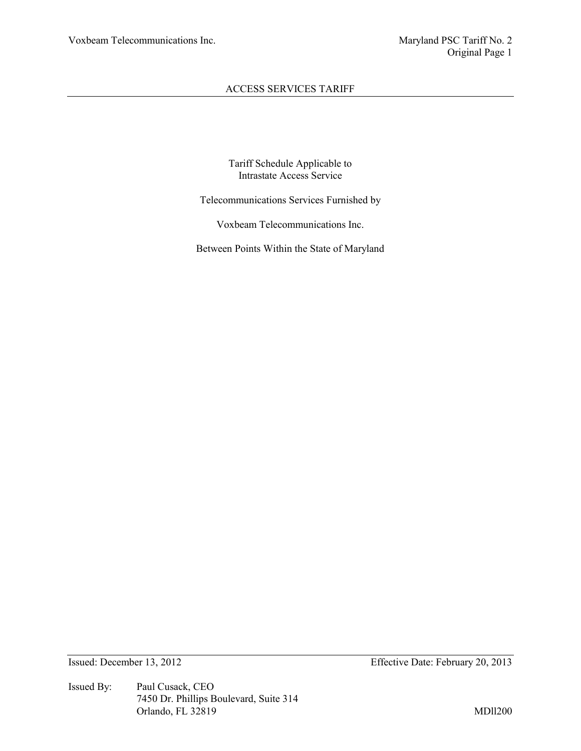Tariff Schedule Applicable to Intrastate Access Service

Telecommunications Services Furnished by

Voxbeam Telecommunications Inc.

Between Points Within the State of Maryland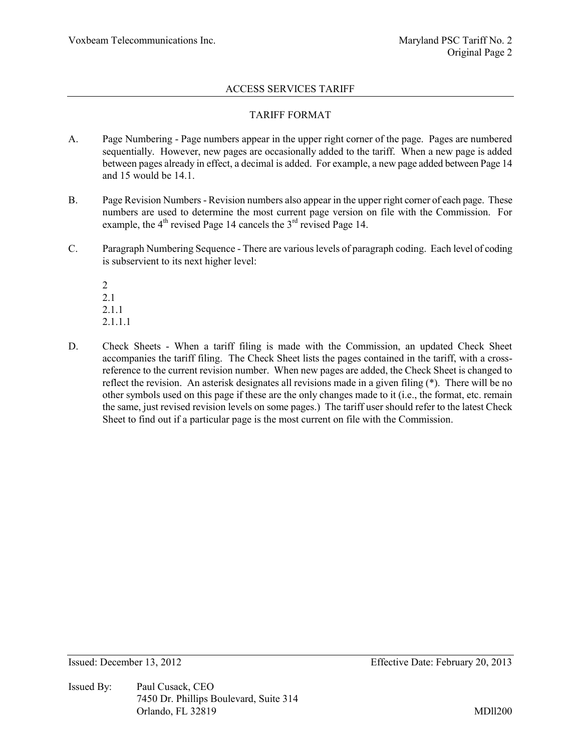# TARIFF FORMAT

- A. Page Numbering Page numbers appear in the upper right corner of the page. Pages are numbered sequentially. However, new pages are occasionally added to the tariff. When a new page is added between pages already in effect, a decimal is added. For example, a new page added between Page 14 and 15 would be 14.1.
- B. Page Revision Numbers Revision numbers also appear in the upper right corner of each page. These numbers are used to determine the most current page version on file with the Commission. For example, the  $4<sup>th</sup>$  revised Page 14 cancels the  $3<sup>rd</sup>$  revised Page 14.
- C. Paragraph Numbering Sequence There are various levels of paragraph coding. Each level of coding is subservient to its next higher level:

2 2.1 2.1.1 2.1.1.1

D. Check Sheets - When a tariff filing is made with the Commission, an updated Check Sheet accompanies the tariff filing. The Check Sheet lists the pages contained in the tariff, with a crossreference to the current revision number. When new pages are added, the Check Sheet is changed to reflect the revision. An asterisk designates all revisions made in a given filing (\*). There will be no other symbols used on this page if these are the only changes made to it (i.e., the format, etc. remain the same, just revised revision levels on some pages.) The tariff user should refer to the latest Check Sheet to find out if a particular page is the most current on file with the Commission.

Issued By: Paul Cusack, CEO 7450 Dr. Phillips Boulevard, Suite 314 Orlando, FL 32819 MDll200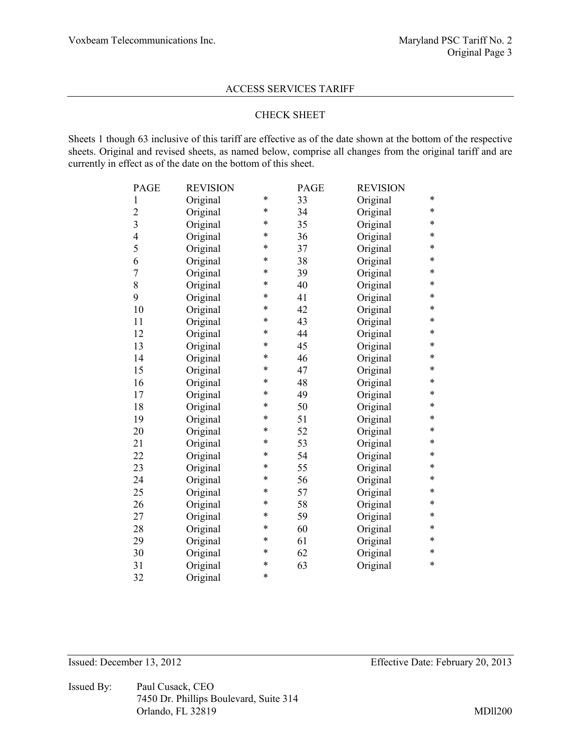# CHECK SHEET

Sheets 1 though 63 inclusive of this tariff are effective as of the date shown at the bottom of the respective sheets. Original and revised sheets, as named below, comprise all changes from the original tariff and are currently in effect as of the date on the bottom of this sheet.

| PAGE           | <b>REVISION</b> |        | PAGE | <b>REVISION</b> |   |
|----------------|-----------------|--------|------|-----------------|---|
| $\mathbf{1}$   | Original        | *      | 33   | Original        | * |
| $\overline{2}$ | Original        | *      | 34   | Original        | * |
| $\overline{3}$ | Original        | $\ast$ | 35   | Original        | * |
| $\overline{4}$ | Original        | $\ast$ | 36   | Original        | * |
| 5              | Original        | *      | 37   | Original        | * |
| 6              | Original        | $\ast$ | 38   | Original        | * |
| $\overline{7}$ | Original        | $\ast$ | 39   | Original        | * |
| 8              | Original        | $\ast$ | 40   | Original        | * |
| 9              | Original        | *      | 41   | Original        | * |
| 10             | Original        | *      | 42   | Original        | * |
| 11             | Original        | *      | 43   | Original        | * |
| 12             | Original        | *      | 44   | Original        | * |
| 13             | Original        | *      | 45   | Original        | * |
| 14             | Original        | *      | 46   | Original        | * |
| 15             | Original        | *      | 47   | Original        | * |
| 16             | Original        | *      | 48   | Original        | * |
| 17             | Original        | *      | 49   | Original        | * |
| 18             | Original        | *      | 50   | Original        | * |
| 19             | Original        | $\ast$ | 51   | Original        | * |
| 20             | Original        | $\ast$ | 52   | Original        | * |
| 21             | Original        | $\ast$ | 53   | Original        | * |
| 22             | Original        | *      | 54   | Original        | * |
| 23             | Original        | *      | 55   | Original        | * |
| 24             | Original        | *      | 56   | Original        | * |
| 25             | Original        | *      | 57   | Original        | * |
| 26             | Original        | *      | 58   | Original        | * |
| 27             | Original        | $\ast$ | 59   | Original        | * |
| 28             | Original        | $\ast$ | 60   | Original        | * |
| 29             | Original        | *      | 61   | Original        | * |
| 30             | Original        | $\ast$ | 62   | Original        | * |
| 31             | Original        | *      | 63   | Original        | * |
| 32             | Original        | *      |      |                 |   |

Issued By: Paul Cusack, CEO 7450 Dr. Phillips Boulevard, Suite 314 Orlando, FL 32819 MDll200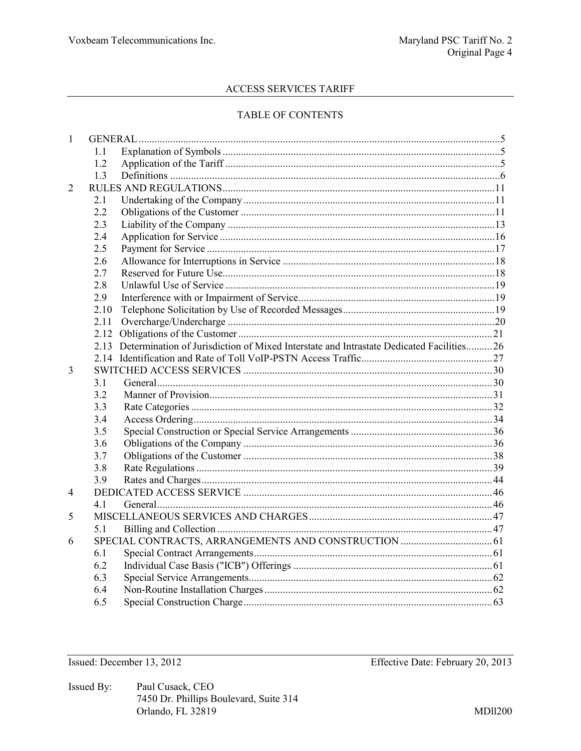# TABLE OF CONTENTS

| $\mathbf{1}$ |        |                                                                                              |  |
|--------------|--------|----------------------------------------------------------------------------------------------|--|
|              | $1\;1$ |                                                                                              |  |
|              | 1.2    |                                                                                              |  |
|              | 1.3    |                                                                                              |  |
| 2            |        |                                                                                              |  |
|              | 2.1    |                                                                                              |  |
|              | 2.2    |                                                                                              |  |
|              | 2.3    |                                                                                              |  |
|              | 2.4    |                                                                                              |  |
|              | 2.5    |                                                                                              |  |
|              | 2.6    |                                                                                              |  |
|              | 2.7    |                                                                                              |  |
|              | 2.8    |                                                                                              |  |
|              | 2.9    |                                                                                              |  |
|              | 2.10   |                                                                                              |  |
|              | 2.11   |                                                                                              |  |
|              |        |                                                                                              |  |
|              |        | 2.13 Determination of Jurisdiction of Mixed Interstate and Intrastate Dedicated Facilities26 |  |
|              |        |                                                                                              |  |
| 3            |        |                                                                                              |  |
|              | 31     |                                                                                              |  |
|              | 3.2    |                                                                                              |  |
|              | 3.3    |                                                                                              |  |
|              | 3.4    |                                                                                              |  |
|              | 3.5    |                                                                                              |  |
|              | 3.6    |                                                                                              |  |
|              | 3.7    |                                                                                              |  |
|              | 3.8    |                                                                                              |  |
|              | 3.9    |                                                                                              |  |
| 4            |        |                                                                                              |  |
|              | 41     |                                                                                              |  |
| 5            |        |                                                                                              |  |
|              | 5.1    |                                                                                              |  |
| 6            |        |                                                                                              |  |
|              | 6.1    |                                                                                              |  |
|              | 6.2    |                                                                                              |  |
|              | 6.3    |                                                                                              |  |
|              | 6.4    |                                                                                              |  |
|              | 6.5    |                                                                                              |  |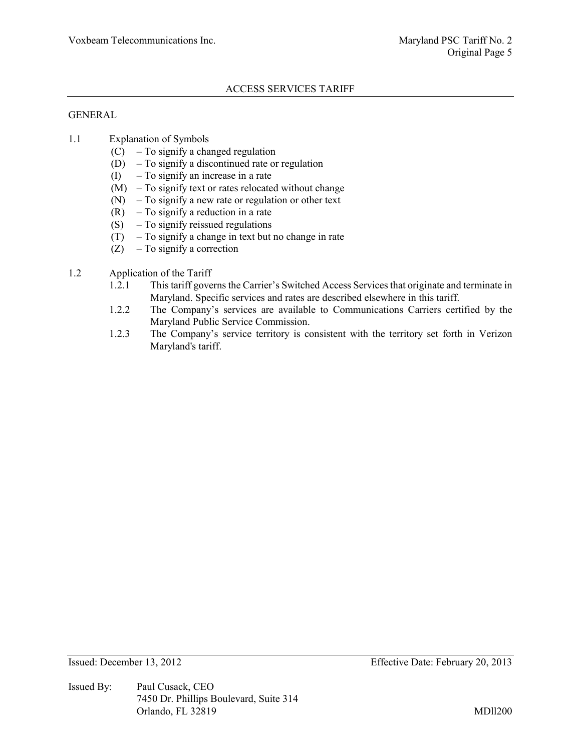# GENERAL

- 1.1 Explanation of Symbols
	- $(C)$  To signify a changed regulation
	- (D) To signify a discontinued rate or regulation
	- (I) To signify an increase in a rate
	- (M) To signify text or rates relocated without change
	- (N) To signify a new rate or regulation or other text
	- $(R)$  To signify a reduction in a rate
	- (S) To signify reissued regulations
	- (T) To signify a change in text but no change in rate
	- $(Z)$  To signify a correction
- 1.2 Application of the Tariff
	- 1.2.1 This tariff governs the Carrier's Switched Access Services that originate and terminate in Maryland. Specific services and rates are described elsewhere in this tariff.
	- 1.2.2 The Company's services are available to Communications Carriers certified by the Maryland Public Service Commission.
	- 1.2.3 The Company's service territory is consistent with the territory set forth in Verizon Maryland's tariff.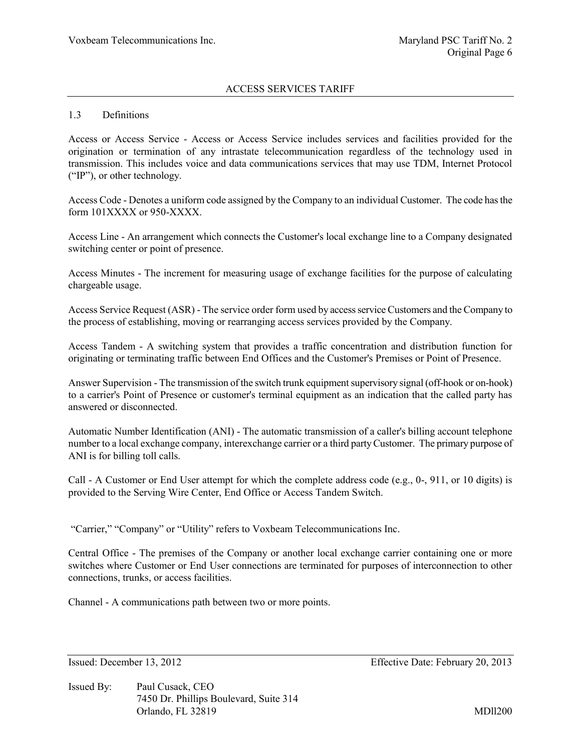#### 1.3 Definitions

Access or Access Service - Access or Access Service includes services and facilities provided for the origination or termination of any intrastate telecommunication regardless of the technology used in transmission. This includes voice and data communications services that may use TDM, Internet Protocol ("IP"), or other technology.

Access Code - Denotes a uniform code assigned by the Company to an individual Customer. The code has the form 101XXXX or 950-XXXX.

Access Line - An arrangement which connects the Customer's local exchange line to a Company designated switching center or point of presence.

Access Minutes - The increment for measuring usage of exchange facilities for the purpose of calculating chargeable usage.

Access Service Request (ASR) - The service order form used by access service Customers and the Company to the process of establishing, moving or rearranging access services provided by the Company.

Access Tandem - A switching system that provides a traffic concentration and distribution function for originating or terminating traffic between End Offices and the Customer's Premises or Point of Presence.

Answer Supervision - The transmission of the switch trunk equipment supervisory signal (off-hook or on-hook) to a carrier's Point of Presence or customer's terminal equipment as an indication that the called party has answered or disconnected.

Automatic Number Identification (ANI) - The automatic transmission of a caller's billing account telephone number to a local exchange company, interexchange carrier or a third party Customer. The primary purpose of ANI is for billing toll calls.

Call - A Customer or End User attempt for which the complete address code (e.g., 0-, 911, or 10 digits) is provided to the Serving Wire Center, End Office or Access Tandem Switch.

"Carrier," "Company" or "Utility" refers to Voxbeam Telecommunications Inc.

Central Office - The premises of the Company or another local exchange carrier containing one or more switches where Customer or End User connections are terminated for purposes of interconnection to other connections, trunks, or access facilities.

Channel - A communications path between two or more points.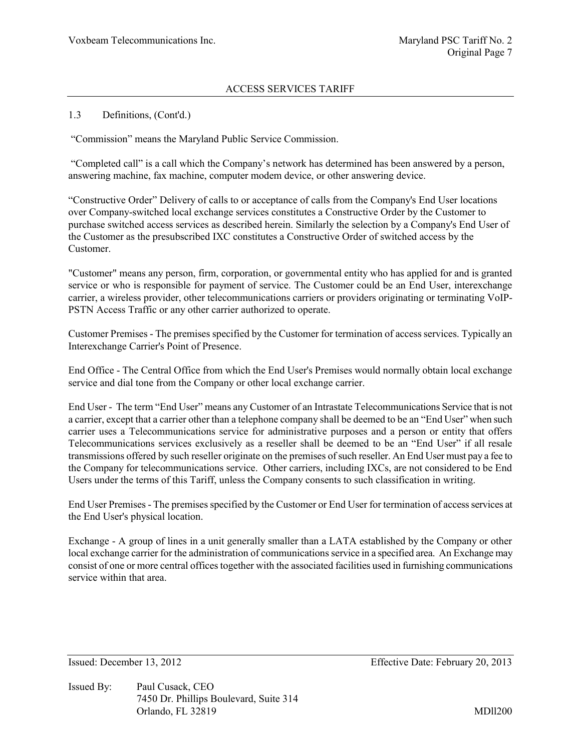### 1.3 Definitions, (Cont'd.)

"Commission" means the Maryland Public Service Commission.

"Completed call" is a call which the Company's network has determined has been answered by a person, answering machine, fax machine, computer modem device, or other answering device.

"Constructive Order" Delivery of calls to or acceptance of calls from the Company's End User locations over Company-switched local exchange services constitutes a Constructive Order by the Customer to purchase switched access services as described herein. Similarly the selection by a Company's End User of the Customer as the presubscribed IXC constitutes a Constructive Order of switched access by the Customer.

"Customer" means any person, firm, corporation, or governmental entity who has applied for and is granted service or who is responsible for payment of service. The Customer could be an End User, interexchange carrier, a wireless provider, other telecommunications carriers or providers originating or terminating VoIP-PSTN Access Traffic or any other carrier authorized to operate.

Customer Premises - The premises specified by the Customer for termination of access services. Typically an Interexchange Carrier's Point of Presence.

End Office - The Central Office from which the End User's Premises would normally obtain local exchange service and dial tone from the Company or other local exchange carrier.

End User - The term "End User" means any Customer of an Intrastate Telecommunications Service that is not a carrier, except that a carrier other than a telephone company shall be deemed to be an "End User" when such carrier uses a Telecommunications service for administrative purposes and a person or entity that offers Telecommunications services exclusively as a reseller shall be deemed to be an "End User" if all resale transmissions offered by such reseller originate on the premises of such reseller. An End User must pay a fee to the Company for telecommunications service. Other carriers, including IXCs, are not considered to be End Users under the terms of this Tariff, unless the Company consents to such classification in writing.

End User Premises - The premises specified by the Customer or End User for termination of access services at the End User's physical location.

Exchange - A group of lines in a unit generally smaller than a LATA established by the Company or other local exchange carrier for the administration of communications service in a specified area. An Exchange may consist of one or more central offices together with the associated facilities used in furnishing communications service within that area.

Issued By: Paul Cusack, CEO 7450 Dr. Phillips Boulevard, Suite 314 Orlando, FL 32819 MDll200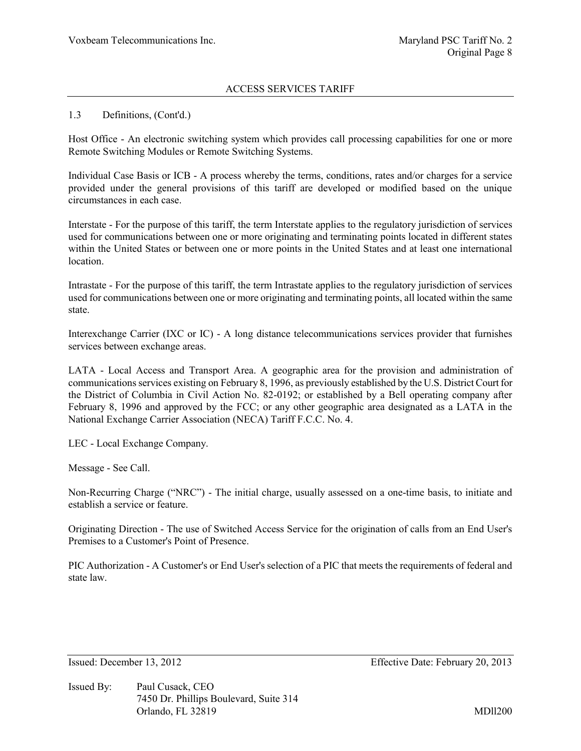#### 1.3 Definitions, (Cont'd.)

Host Office - An electronic switching system which provides call processing capabilities for one or more Remote Switching Modules or Remote Switching Systems.

Individual Case Basis or ICB - A process whereby the terms, conditions, rates and/or charges for a service provided under the general provisions of this tariff are developed or modified based on the unique circumstances in each case.

Interstate - For the purpose of this tariff, the term Interstate applies to the regulatory jurisdiction of services used for communications between one or more originating and terminating points located in different states within the United States or between one or more points in the United States and at least one international location.

Intrastate - For the purpose of this tariff, the term Intrastate applies to the regulatory jurisdiction of services used for communications between one or more originating and terminating points, all located within the same state.

Interexchange Carrier (IXC or IC) - A long distance telecommunications services provider that furnishes services between exchange areas.

LATA - Local Access and Transport Area. A geographic area for the provision and administration of communications services existing on February 8, 1996, as previously established by the U.S. District Court for the District of Columbia in Civil Action No. 82-0192; or established by a Bell operating company after February 8, 1996 and approved by the FCC; or any other geographic area designated as a LATA in the National Exchange Carrier Association (NECA) Tariff F.C.C. No. 4.

LEC - Local Exchange Company.

Message - See Call.

Non-Recurring Charge ("NRC") - The initial charge, usually assessed on a one-time basis, to initiate and establish a service or feature.

Originating Direction - The use of Switched Access Service for the origination of calls from an End User's Premises to a Customer's Point of Presence.

PIC Authorization - A Customer's or End User's selection of a PIC that meets the requirements of federal and state law.

Issued By: Paul Cusack, CEO 7450 Dr. Phillips Boulevard, Suite 314 Orlando, FL 32819 MDll200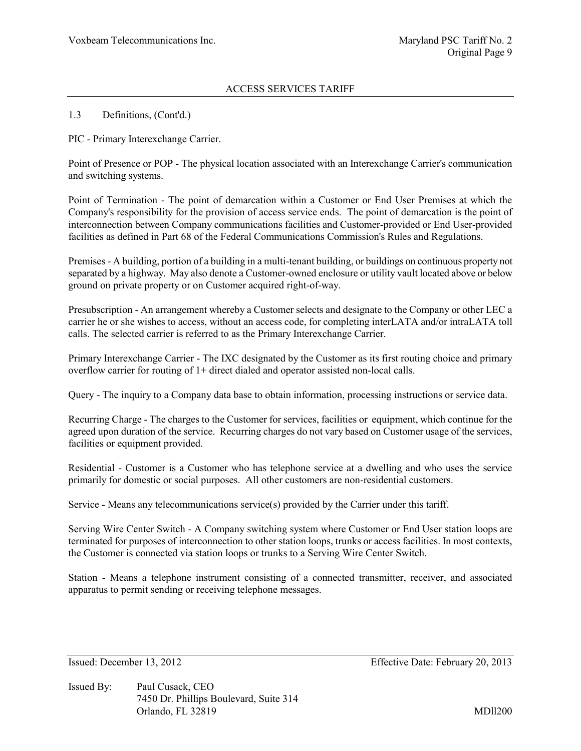#### 1.3 Definitions, (Cont'd.)

PIC - Primary Interexchange Carrier.

Point of Presence or POP - The physical location associated with an Interexchange Carrier's communication and switching systems.

Point of Termination - The point of demarcation within a Customer or End User Premises at which the Company's responsibility for the provision of access service ends. The point of demarcation is the point of interconnection between Company communications facilities and Customer-provided or End User-provided facilities as defined in Part 68 of the Federal Communications Commission's Rules and Regulations.

Premises - A building, portion of a building in a multi-tenant building, or buildings on continuous property not separated by a highway. May also denote a Customer-owned enclosure or utility vault located above or below ground on private property or on Customer acquired right-of-way.

Presubscription - An arrangement whereby a Customer selects and designate to the Company or other LEC a carrier he or she wishes to access, without an access code, for completing interLATA and/or intraLATA toll calls. The selected carrier is referred to as the Primary Interexchange Carrier.

Primary Interexchange Carrier - The IXC designated by the Customer as its first routing choice and primary overflow carrier for routing of 1+ direct dialed and operator assisted non-local calls.

Query - The inquiry to a Company data base to obtain information, processing instructions or service data.

Recurring Charge - The charges to the Customer for services, facilities or equipment, which continue for the agreed upon duration of the service. Recurring charges do not vary based on Customer usage of the services, facilities or equipment provided.

Residential - Customer is a Customer who has telephone service at a dwelling and who uses the service primarily for domestic or social purposes. All other customers are non-residential customers.

Service - Means any telecommunications service(s) provided by the Carrier under this tariff.

Serving Wire Center Switch - A Company switching system where Customer or End User station loops are terminated for purposes of interconnection to other station loops, trunks or access facilities. In most contexts, the Customer is connected via station loops or trunks to a Serving Wire Center Switch.

Station - Means a telephone instrument consisting of a connected transmitter, receiver, and associated apparatus to permit sending or receiving telephone messages.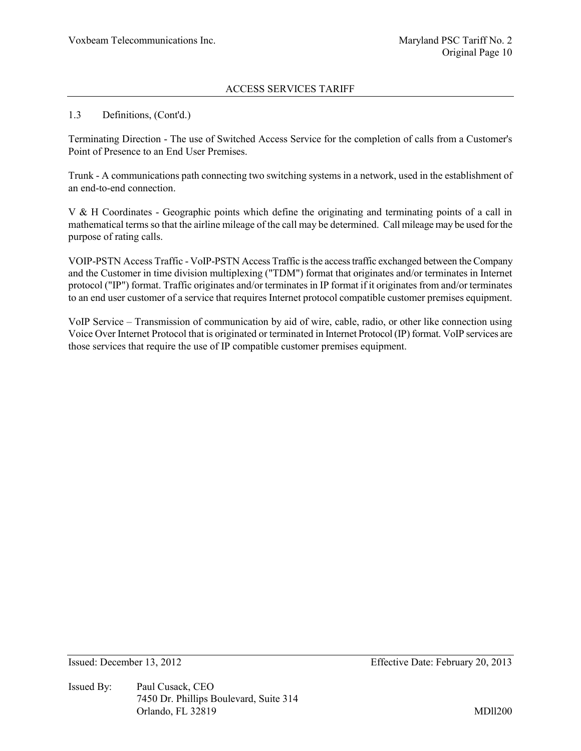#### 1.3 Definitions, (Cont'd.)

Terminating Direction - The use of Switched Access Service for the completion of calls from a Customer's Point of Presence to an End User Premises.

Trunk - A communications path connecting two switching systems in a network, used in the establishment of an end-to-end connection.

V & H Coordinates - Geographic points which define the originating and terminating points of a call in mathematical terms so that the airline mileage of the call may be determined. Call mileage may be used for the purpose of rating calls.

VOIP-PSTN Access Traffic - VoIP-PSTN Access Traffic is the access traffic exchanged between the Company and the Customer in time division multiplexing ("TDM") format that originates and/or terminates in Internet protocol ("IP") format. Traffic originates and/or terminates in IP format if it originates from and/or terminates to an end user customer of a service that requires Internet protocol compatible customer premises equipment.

VoIP Service – Transmission of communication by aid of wire, cable, radio, or other like connection using Voice Over Internet Protocol that is originated or terminated in Internet Protocol (IP) format. VoIP services are those services that require the use of IP compatible customer premises equipment.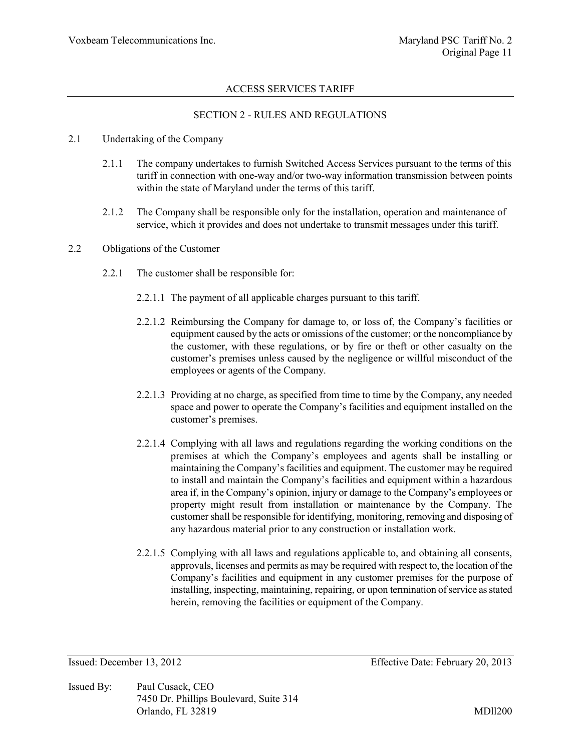# SECTION 2 - RULES AND REGULATIONS

#### 2.1 Undertaking of the Company

- 2.1.1 The company undertakes to furnish Switched Access Services pursuant to the terms of this tariff in connection with one-way and/or two-way information transmission between points within the state of Maryland under the terms of this tariff.
- 2.1.2 The Company shall be responsible only for the installation, operation and maintenance of service, which it provides and does not undertake to transmit messages under this tariff.

#### 2.2 Obligations of the Customer

- 2.2.1 The customer shall be responsible for:
	- 2.2.1.1 The payment of all applicable charges pursuant to this tariff.
	- 2.2.1.2 Reimbursing the Company for damage to, or loss of, the Company's facilities or equipment caused by the acts or omissions of the customer; or the noncompliance by the customer, with these regulations, or by fire or theft or other casualty on the customer's premises unless caused by the negligence or willful misconduct of the employees or agents of the Company.
	- 2.2.1.3 Providing at no charge, as specified from time to time by the Company, any needed space and power to operate the Company's facilities and equipment installed on the customer's premises.
	- 2.2.1.4 Complying with all laws and regulations regarding the working conditions on the premises at which the Company's employees and agents shall be installing or maintaining the Company's facilities and equipment. The customer may be required to install and maintain the Company's facilities and equipment within a hazardous area if, in the Company's opinion, injury or damage to the Company's employees or property might result from installation or maintenance by the Company. The customer shall be responsible for identifying, monitoring, removing and disposing of any hazardous material prior to any construction or installation work.
	- 2.2.1.5 Complying with all laws and regulations applicable to, and obtaining all consents, approvals, licenses and permits as may be required with respect to, the location of the Company's facilities and equipment in any customer premises for the purpose of installing, inspecting, maintaining, repairing, or upon termination of service as stated herein, removing the facilities or equipment of the Company.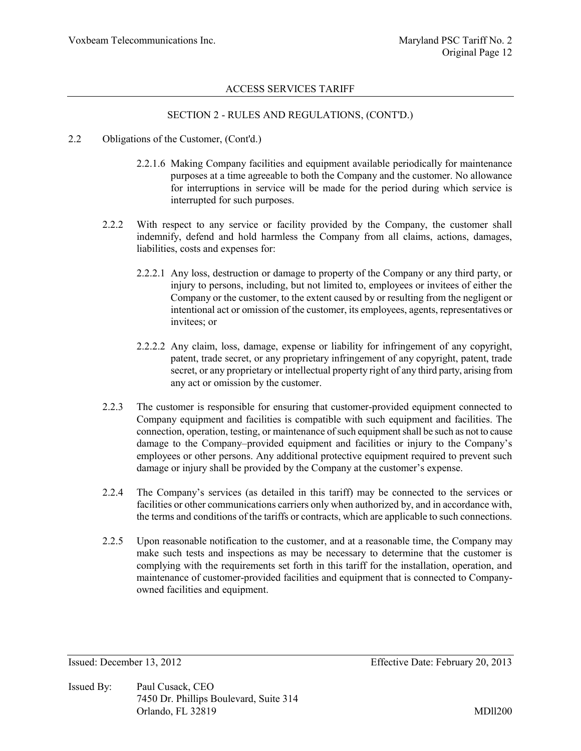# SECTION 2 - RULES AND REGULATIONS, (CONT'D.)

- 2.2 Obligations of the Customer, (Cont'd.)
	- 2.2.1.6 Making Company facilities and equipment available periodically for maintenance purposes at a time agreeable to both the Company and the customer. No allowance for interruptions in service will be made for the period during which service is interrupted for such purposes.
	- 2.2.2 With respect to any service or facility provided by the Company, the customer shall indemnify, defend and hold harmless the Company from all claims, actions, damages, liabilities, costs and expenses for:
		- 2.2.2.1 Any loss, destruction or damage to property of the Company or any third party, or injury to persons, including, but not limited to, employees or invitees of either the Company or the customer, to the extent caused by or resulting from the negligent or intentional act or omission of the customer, its employees, agents, representatives or invitees; or
		- 2.2.2.2 Any claim, loss, damage, expense or liability for infringement of any copyright, patent, trade secret, or any proprietary infringement of any copyright, patent, trade secret, or any proprietary or intellectual property right of any third party, arising from any act or omission by the customer.
	- 2.2.3 The customer is responsible for ensuring that customer-provided equipment connected to Company equipment and facilities is compatible with such equipment and facilities. The connection, operation, testing, or maintenance of such equipment shall be such as not to cause damage to the Company–provided equipment and facilities or injury to the Company's employees or other persons. Any additional protective equipment required to prevent such damage or injury shall be provided by the Company at the customer's expense.
	- 2.2.4 The Company's services (as detailed in this tariff) may be connected to the services or facilities or other communications carriers only when authorized by, and in accordance with, the terms and conditions of the tariffs or contracts, which are applicable to such connections.
	- 2.2.5 Upon reasonable notification to the customer, and at a reasonable time, the Company may make such tests and inspections as may be necessary to determine that the customer is complying with the requirements set forth in this tariff for the installation, operation, and maintenance of customer-provided facilities and equipment that is connected to Companyowned facilities and equipment.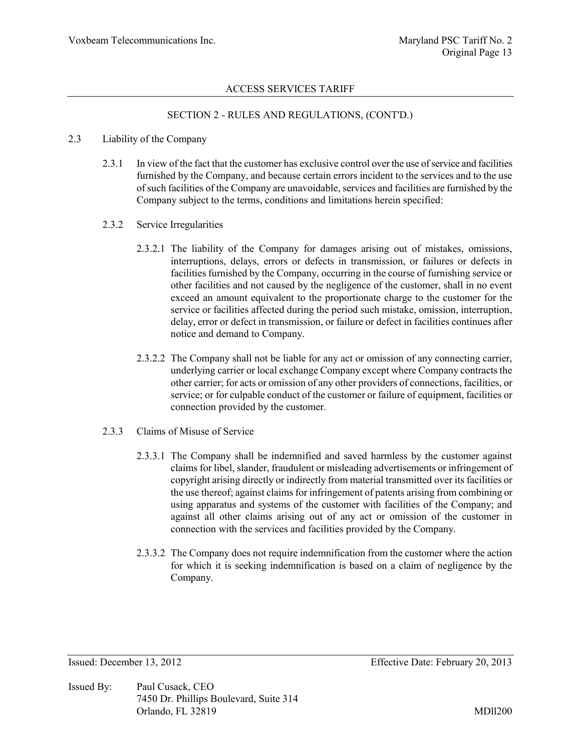# SECTION 2 - RULES AND REGULATIONS, (CONT'D.)

#### 2.3 Liability of the Company

- 2.3.1 In view of the fact that the customer has exclusive control over the use of service and facilities furnished by the Company, and because certain errors incident to the services and to the use of such facilities of the Company are unavoidable, services and facilities are furnished by the Company subject to the terms, conditions and limitations herein specified:
- 2.3.2 Service Irregularities
	- 2.3.2.1 The liability of the Company for damages arising out of mistakes, omissions, interruptions, delays, errors or defects in transmission, or failures or defects in facilities furnished by the Company, occurring in the course of furnishing service or other facilities and not caused by the negligence of the customer, shall in no event exceed an amount equivalent to the proportionate charge to the customer for the service or facilities affected during the period such mistake, omission, interruption, delay, error or defect in transmission, or failure or defect in facilities continues after notice and demand to Company.
	- 2.3.2.2 The Company shall not be liable for any act or omission of any connecting carrier, underlying carrier or local exchange Company except where Company contracts the other carrier; for acts or omission of any other providers of connections, facilities, or service; or for culpable conduct of the customer or failure of equipment, facilities or connection provided by the customer.
- 2.3.3 Claims of Misuse of Service
	- 2.3.3.1 The Company shall be indemnified and saved harmless by the customer against claims for libel, slander, fraudulent or misleading advertisements or infringement of copyright arising directly or indirectly from material transmitted over its facilities or the use thereof; against claims for infringement of patents arising from combining or using apparatus and systems of the customer with facilities of the Company; and against all other claims arising out of any act or omission of the customer in connection with the services and facilities provided by the Company.
	- 2.3.3.2 The Company does not require indemnification from the customer where the action for which it is seeking indemnification is based on a claim of negligence by the Company.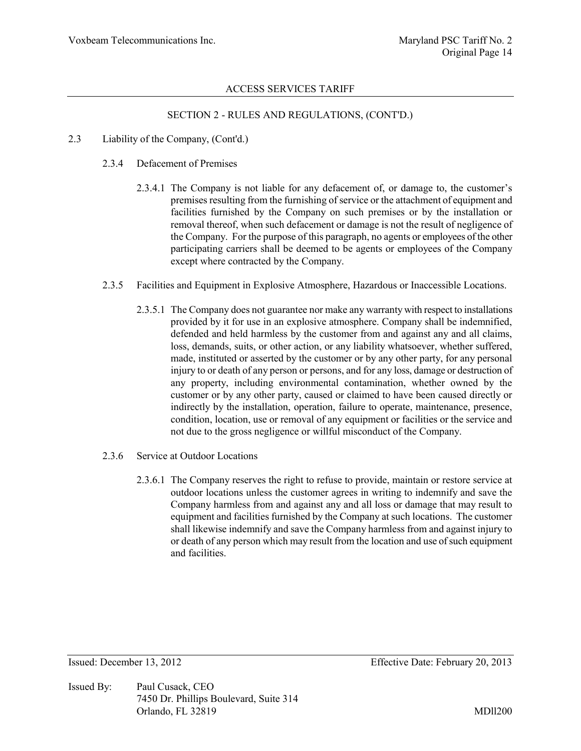#### SECTION 2 - RULES AND REGULATIONS, (CONT'D.)

#### 2.3 Liability of the Company, (Cont'd.)

#### 2.3.4 Defacement of Premises

- 2.3.4.1 The Company is not liable for any defacement of, or damage to, the customer's premises resulting from the furnishing of service or the attachment of equipment and facilities furnished by the Company on such premises or by the installation or removal thereof, when such defacement or damage is not the result of negligence of the Company. For the purpose of this paragraph, no agents or employees of the other participating carriers shall be deemed to be agents or employees of the Company except where contracted by the Company.
- 2.3.5 Facilities and Equipment in Explosive Atmosphere, Hazardous or Inaccessible Locations.
	- 2.3.5.1 The Company does not guarantee nor make any warranty with respect to installations provided by it for use in an explosive atmosphere. Company shall be indemnified, defended and held harmless by the customer from and against any and all claims, loss, demands, suits, or other action, or any liability whatsoever, whether suffered, made, instituted or asserted by the customer or by any other party, for any personal injury to or death of any person or persons, and for any loss, damage or destruction of any property, including environmental contamination, whether owned by the customer or by any other party, caused or claimed to have been caused directly or indirectly by the installation, operation, failure to operate, maintenance, presence, condition, location, use or removal of any equipment or facilities or the service and not due to the gross negligence or willful misconduct of the Company.
- 2.3.6 Service at Outdoor Locations
	- 2.3.6.1 The Company reserves the right to refuse to provide, maintain or restore service at outdoor locations unless the customer agrees in writing to indemnify and save the Company harmless from and against any and all loss or damage that may result to equipment and facilities furnished by the Company at such locations. The customer shall likewise indemnify and save the Company harmless from and against injury to or death of any person which may result from the location and use of such equipment and facilities.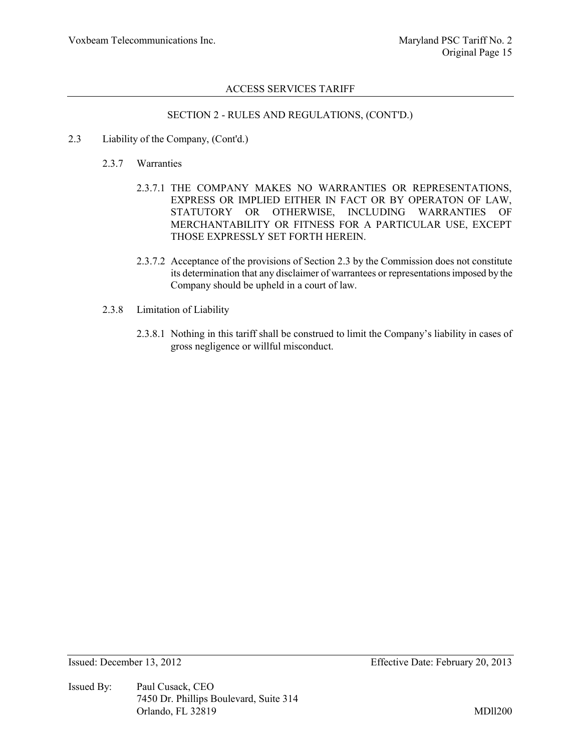#### SECTION 2 - RULES AND REGULATIONS, (CONT'D.)

- 2.3 Liability of the Company, (Cont'd.)
	- 2.3.7 Warranties
		- 2.3.7.1 THE COMPANY MAKES NO WARRANTIES OR REPRESENTATIONS, EXPRESS OR IMPLIED EITHER IN FACT OR BY OPERATON OF LAW, STATUTORY OR OTHERWISE, INCLUDING WARRANTIES OF MERCHANTABILITY OR FITNESS FOR A PARTICULAR USE, EXCEPT THOSE EXPRESSLY SET FORTH HEREIN.
		- 2.3.7.2 Acceptance of the provisions of Section 2.3 by the Commission does not constitute its determination that any disclaimer of warrantees or representations imposed by the Company should be upheld in a court of law.
	- 2.3.8 Limitation of Liability
		- 2.3.8.1 Nothing in this tariff shall be construed to limit the Company's liability in cases of gross negligence or willful misconduct.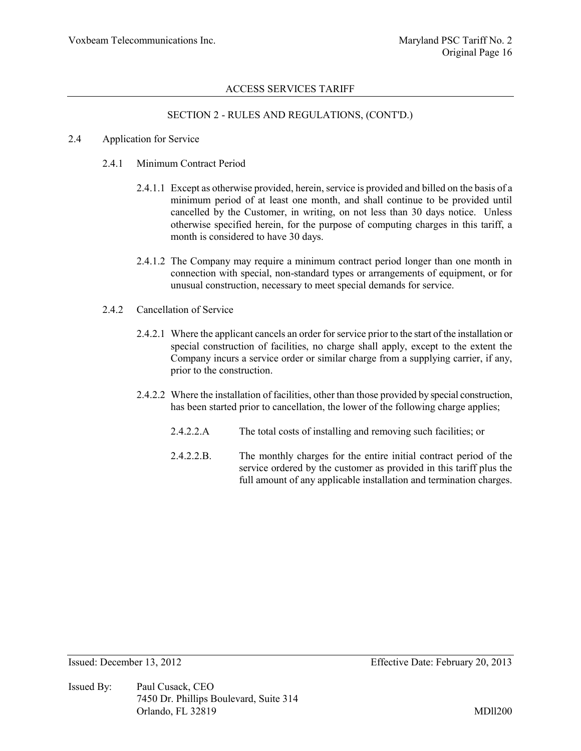# SECTION 2 - RULES AND REGULATIONS, (CONT'D.)

#### 2.4 Application for Service

#### 2.4.1 Minimum Contract Period

- 2.4.1.1 Except as otherwise provided, herein, service is provided and billed on the basis of a minimum period of at least one month, and shall continue to be provided until cancelled by the Customer, in writing, on not less than 30 days notice. Unless otherwise specified herein, for the purpose of computing charges in this tariff, a month is considered to have 30 days.
- 2.4.1.2 The Company may require a minimum contract period longer than one month in connection with special, non-standard types or arrangements of equipment, or for unusual construction, necessary to meet special demands for service.
- 2.4.2 Cancellation of Service
	- 2.4.2.1 Where the applicant cancels an order for service prior to the start of the installation or special construction of facilities, no charge shall apply, except to the extent the Company incurs a service order or similar charge from a supplying carrier, if any, prior to the construction.
	- 2.4.2.2 Where the installation of facilities, other than those provided by special construction, has been started prior to cancellation, the lower of the following charge applies;
		- 2.4.2.2.A The total costs of installing and removing such facilities; or
		- 2.4.2.2.B. The monthly charges for the entire initial contract period of the service ordered by the customer as provided in this tariff plus the full amount of any applicable installation and termination charges.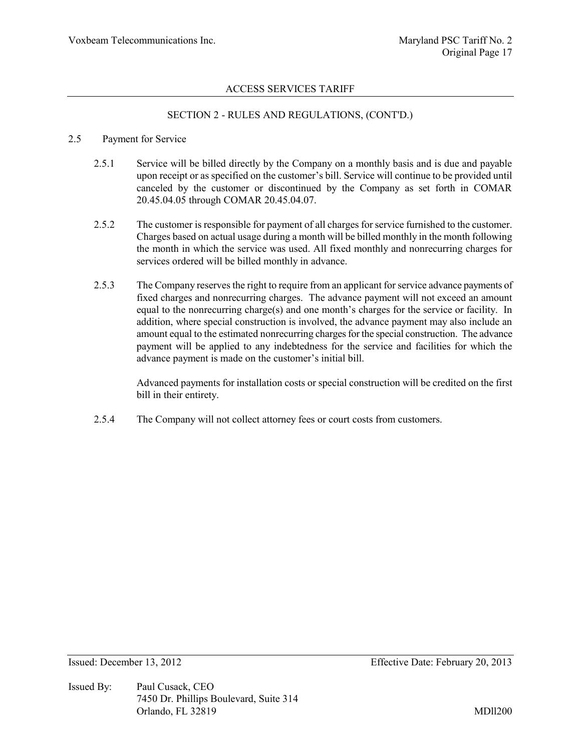#### SECTION 2 - RULES AND REGULATIONS, (CONT'D.)

#### 2.5 Payment for Service

- 2.5.1 Service will be billed directly by the Company on a monthly basis and is due and payable upon receipt or as specified on the customer's bill. Service will continue to be provided until canceled by the customer or discontinued by the Company as set forth in COMAR 20.45.04.05 through COMAR 20.45.04.07.
- 2.5.2 The customer is responsible for payment of all charges for service furnished to the customer. Charges based on actual usage during a month will be billed monthly in the month following the month in which the service was used. All fixed monthly and nonrecurring charges for services ordered will be billed monthly in advance.
- 2.5.3 The Company reserves the right to require from an applicant for service advance payments of fixed charges and nonrecurring charges. The advance payment will not exceed an amount equal to the nonrecurring charge(s) and one month's charges for the service or facility. In addition, where special construction is involved, the advance payment may also include an amount equal to the estimated nonrecurring charges for the special construction. The advance payment will be applied to any indebtedness for the service and facilities for which the advance payment is made on the customer's initial bill.

Advanced payments for installation costs or special construction will be credited on the first bill in their entirety.

2.5.4 The Company will not collect attorney fees or court costs from customers.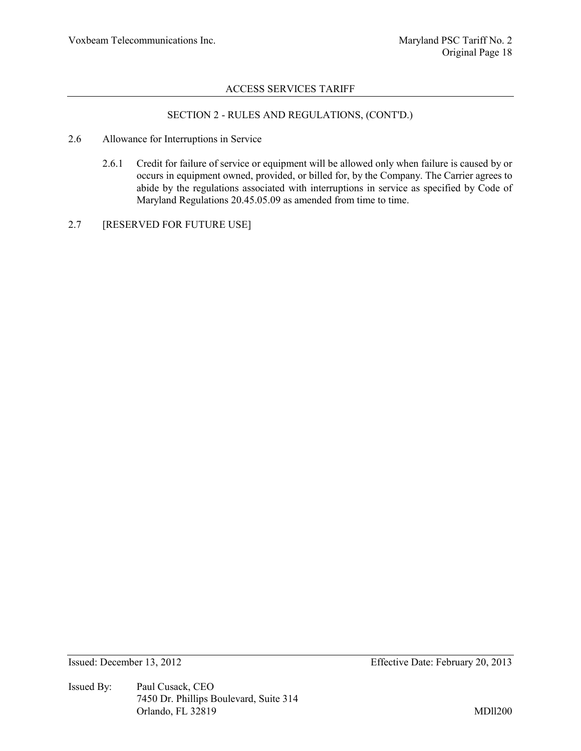# SECTION 2 - RULES AND REGULATIONS, (CONT'D.)

- 2.6 Allowance for Interruptions in Service
	- 2.6.1 Credit for failure of service or equipment will be allowed only when failure is caused by or occurs in equipment owned, provided, or billed for, by the Company. The Carrier agrees to abide by the regulations associated with interruptions in service as specified by Code of Maryland Regulations 20.45.05.09 as amended from time to time.
- 2.7 [RESERVED FOR FUTURE USE]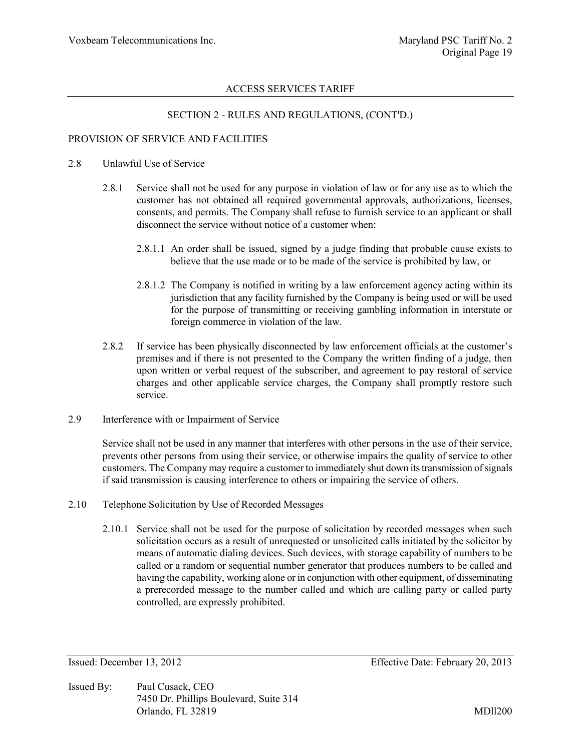#### SECTION 2 - RULES AND REGULATIONS, (CONT'D.)

#### PROVISION OF SERVICE AND FACILITIES

#### 2.8 Unlawful Use of Service

- 2.8.1 Service shall not be used for any purpose in violation of law or for any use as to which the customer has not obtained all required governmental approvals, authorizations, licenses, consents, and permits. The Company shall refuse to furnish service to an applicant or shall disconnect the service without notice of a customer when:
	- 2.8.1.1 An order shall be issued, signed by a judge finding that probable cause exists to believe that the use made or to be made of the service is prohibited by law, or
	- 2.8.1.2 The Company is notified in writing by a law enforcement agency acting within its jurisdiction that any facility furnished by the Company is being used or will be used for the purpose of transmitting or receiving gambling information in interstate or foreign commerce in violation of the law.
- 2.8.2 If service has been physically disconnected by law enforcement officials at the customer's premises and if there is not presented to the Company the written finding of a judge, then upon written or verbal request of the subscriber, and agreement to pay restoral of service charges and other applicable service charges, the Company shall promptly restore such service.
- 2.9 Interference with or Impairment of Service

Service shall not be used in any manner that interferes with other persons in the use of their service, prevents other persons from using their service, or otherwise impairs the quality of service to other customers. The Company may require a customer to immediately shut down its transmission of signals if said transmission is causing interference to others or impairing the service of others.

- 2.10 Telephone Solicitation by Use of Recorded Messages
	- 2.10.1 Service shall not be used for the purpose of solicitation by recorded messages when such solicitation occurs as a result of unrequested or unsolicited calls initiated by the solicitor by means of automatic dialing devices. Such devices, with storage capability of numbers to be called or a random or sequential number generator that produces numbers to be called and having the capability, working alone or in conjunction with other equipment, of disseminating a prerecorded message to the number called and which are calling party or called party controlled, are expressly prohibited.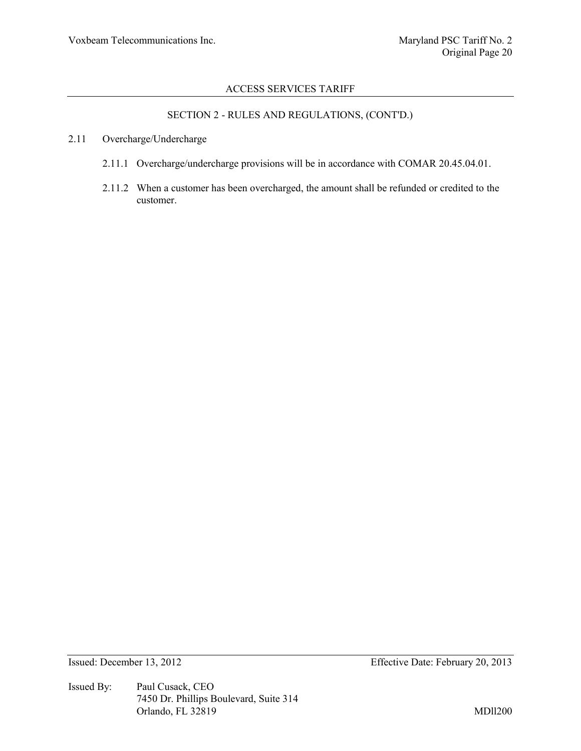# SECTION 2 - RULES AND REGULATIONS, (CONT'D.)

#### 2.11 Overcharge/Undercharge

- 2.11.1 Overcharge/undercharge provisions will be in accordance with COMAR 20.45.04.01.
- 2.11.2 When a customer has been overcharged, the amount shall be refunded or credited to the customer.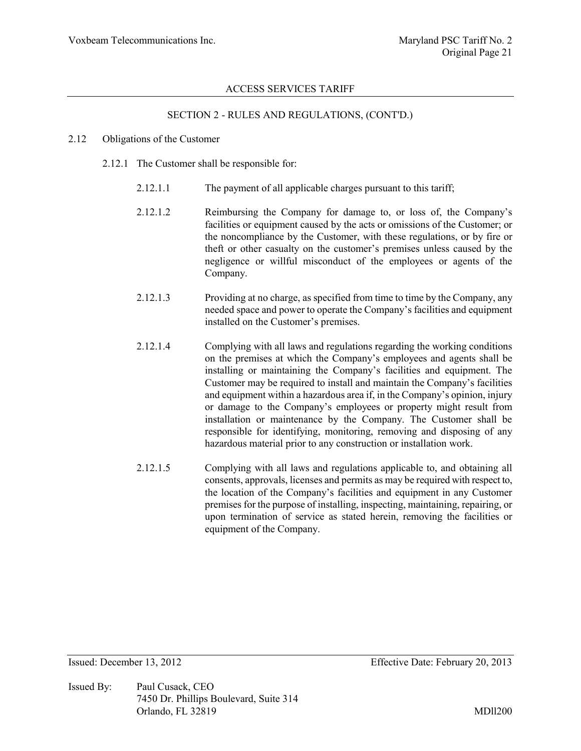# SECTION 2 - RULES AND REGULATIONS, (CONT'D.)

#### 2.12 Obligations of the Customer

- 2.12.1 The Customer shall be responsible for:
	- 2.12.1.1 The payment of all applicable charges pursuant to this tariff;
	- 2.12.1.2 Reimbursing the Company for damage to, or loss of, the Company's facilities or equipment caused by the acts or omissions of the Customer; or the noncompliance by the Customer, with these regulations, or by fire or theft or other casualty on the customer's premises unless caused by the negligence or willful misconduct of the employees or agents of the Company.
	- 2.12.1.3 Providing at no charge, as specified from time to time by the Company, any needed space and power to operate the Company's facilities and equipment installed on the Customer's premises.
	- 2.12.1.4 Complying with all laws and regulations regarding the working conditions on the premises at which the Company's employees and agents shall be installing or maintaining the Company's facilities and equipment. The Customer may be required to install and maintain the Company's facilities and equipment within a hazardous area if, in the Company's opinion, injury or damage to the Company's employees or property might result from installation or maintenance by the Company. The Customer shall be responsible for identifying, monitoring, removing and disposing of any hazardous material prior to any construction or installation work.
	- 2.12.1.5 Complying with all laws and regulations applicable to, and obtaining all consents, approvals, licenses and permits as may be required with respect to, the location of the Company's facilities and equipment in any Customer premises for the purpose of installing, inspecting, maintaining, repairing, or upon termination of service as stated herein, removing the facilities or equipment of the Company.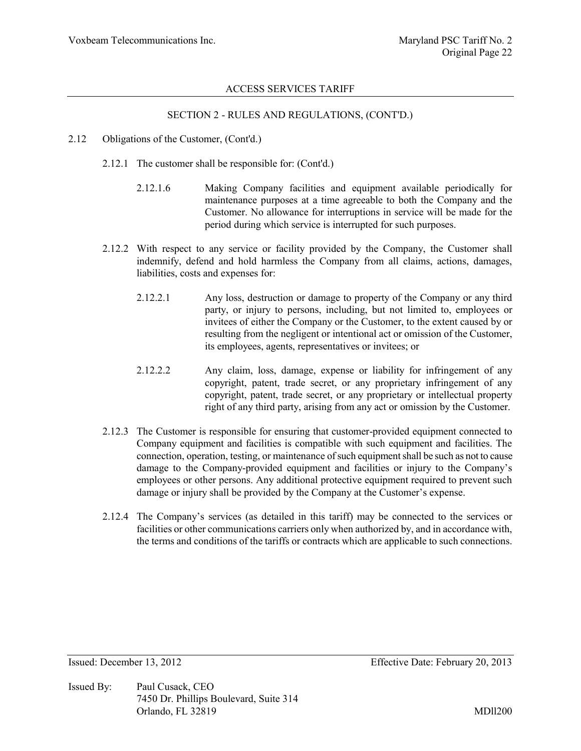### SECTION 2 - RULES AND REGULATIONS, (CONT'D.)

- 2.12 Obligations of the Customer, (Cont'd.)
	- 2.12.1 The customer shall be responsible for: (Cont'd.)
		- 2.12.1.6 Making Company facilities and equipment available periodically for maintenance purposes at a time agreeable to both the Company and the Customer. No allowance for interruptions in service will be made for the period during which service is interrupted for such purposes.
	- 2.12.2 With respect to any service or facility provided by the Company, the Customer shall indemnify, defend and hold harmless the Company from all claims, actions, damages, liabilities, costs and expenses for:
		- 2.12.2.1 Any loss, destruction or damage to property of the Company or any third party, or injury to persons, including, but not limited to, employees or invitees of either the Company or the Customer, to the extent caused by or resulting from the negligent or intentional act or omission of the Customer, its employees, agents, representatives or invitees; or
		- 2.12.2.2 Any claim, loss, damage, expense or liability for infringement of any copyright, patent, trade secret, or any proprietary infringement of any copyright, patent, trade secret, or any proprietary or intellectual property right of any third party, arising from any act or omission by the Customer.
	- 2.12.3 The Customer is responsible for ensuring that customer-provided equipment connected to Company equipment and facilities is compatible with such equipment and facilities. The connection, operation, testing, or maintenance of such equipment shall be such as not to cause damage to the Company-provided equipment and facilities or injury to the Company's employees or other persons. Any additional protective equipment required to prevent such damage or injury shall be provided by the Company at the Customer's expense.
	- 2.12.4 The Company's services (as detailed in this tariff) may be connected to the services or facilities or other communications carriers only when authorized by, and in accordance with, the terms and conditions of the tariffs or contracts which are applicable to such connections.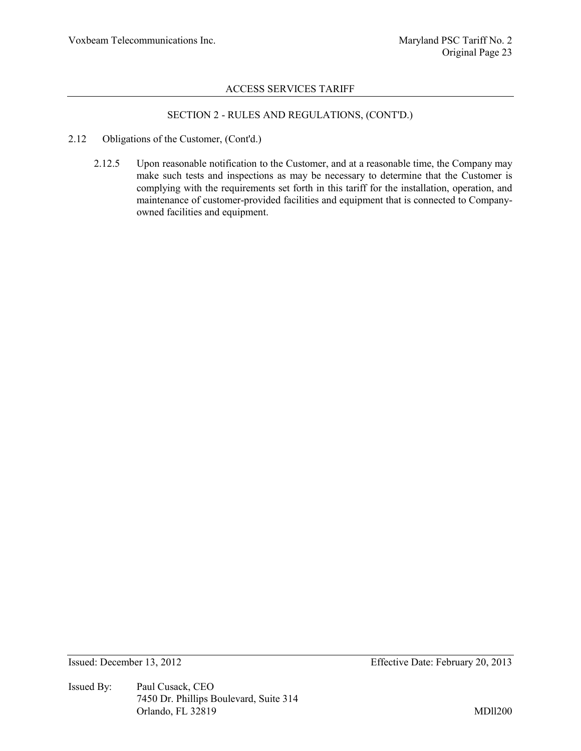# SECTION 2 - RULES AND REGULATIONS, (CONT'D.)

- 2.12 Obligations of the Customer, (Cont'd.)
	- 2.12.5 Upon reasonable notification to the Customer, and at a reasonable time, the Company may make such tests and inspections as may be necessary to determine that the Customer is complying with the requirements set forth in this tariff for the installation, operation, and maintenance of customer-provided facilities and equipment that is connected to Companyowned facilities and equipment.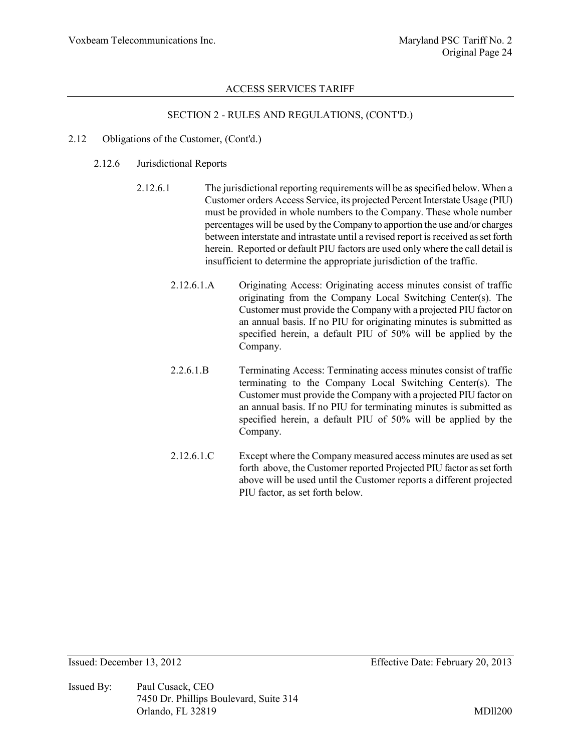# SECTION 2 - RULES AND REGULATIONS, (CONT'D.)

- 2.12 Obligations of the Customer, (Cont'd.)
	- 2.12.6 Jurisdictional Reports
		- 2.12.6.1 The jurisdictional reporting requirements will be as specified below. When a Customer orders Access Service, its projected Percent Interstate Usage (PIU) must be provided in whole numbers to the Company. These whole number percentages will be used by the Company to apportion the use and/or charges between interstate and intrastate until a revised report is received as set forth herein. Reported or default PIU factors are used only where the call detail is insufficient to determine the appropriate jurisdiction of the traffic.
			- 2.12.6.1.A Originating Access: Originating access minutes consist of traffic originating from the Company Local Switching Center(s). The Customer must provide the Company with a projected PIU factor on an annual basis. If no PIU for originating minutes is submitted as specified herein, a default PIU of 50% will be applied by the Company.
			- 2.2.6.1.B Terminating Access: Terminating access minutes consist of traffic terminating to the Company Local Switching Center(s). The Customer must provide the Company with a projected PIU factor on an annual basis. If no PIU for terminating minutes is submitted as specified herein, a default PIU of 50% will be applied by the Company.
			- 2.12.6.1.C Except where the Company measured access minutes are used as set forth above, the Customer reported Projected PIU factor as set forth above will be used until the Customer reports a different projected PIU factor, as set forth below.

Issued By: Paul Cusack, CEO 7450 Dr. Phillips Boulevard, Suite 314 Orlando, FL 32819 MDll200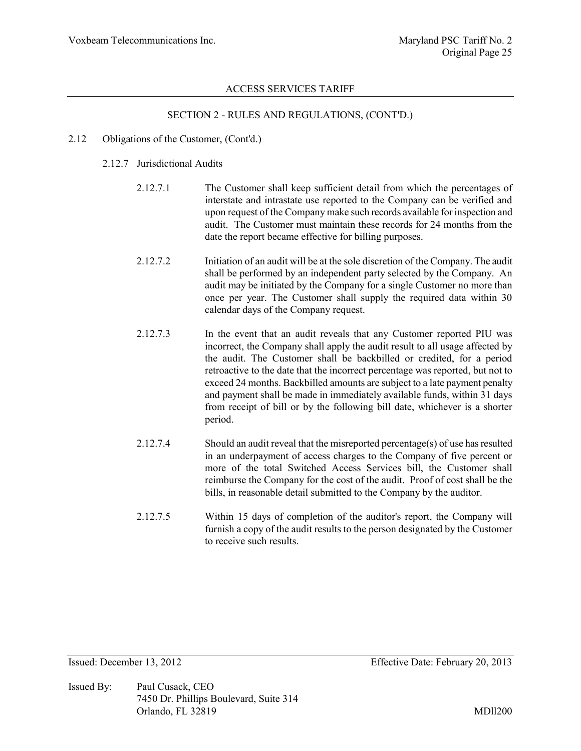#### SECTION 2 - RULES AND REGULATIONS, (CONT'D.)

#### 2.12 Obligations of the Customer, (Cont'd.)

#### 2.12.7 Jurisdictional Audits

- 2.12.7.1 The Customer shall keep sufficient detail from which the percentages of interstate and intrastate use reported to the Company can be verified and upon request of the Company make such records available for inspection and audit. The Customer must maintain these records for 24 months from the date the report became effective for billing purposes.
- 2.12.7.2 Initiation of an audit will be at the sole discretion of the Company. The audit shall be performed by an independent party selected by the Company. An audit may be initiated by the Company for a single Customer no more than once per year. The Customer shall supply the required data within 30 calendar days of the Company request.
- 2.12.7.3 In the event that an audit reveals that any Customer reported PIU was incorrect, the Company shall apply the audit result to all usage affected by the audit. The Customer shall be backbilled or credited, for a period retroactive to the date that the incorrect percentage was reported, but not to exceed 24 months. Backbilled amounts are subject to a late payment penalty and payment shall be made in immediately available funds, within 31 days from receipt of bill or by the following bill date, whichever is a shorter period.
- 2.12.7.4 Should an audit reveal that the misreported percentage(s) of use has resulted in an underpayment of access charges to the Company of five percent or more of the total Switched Access Services bill, the Customer shall reimburse the Company for the cost of the audit. Proof of cost shall be the bills, in reasonable detail submitted to the Company by the auditor.
- 2.12.7.5 Within 15 days of completion of the auditor's report, the Company will furnish a copy of the audit results to the person designated by the Customer to receive such results.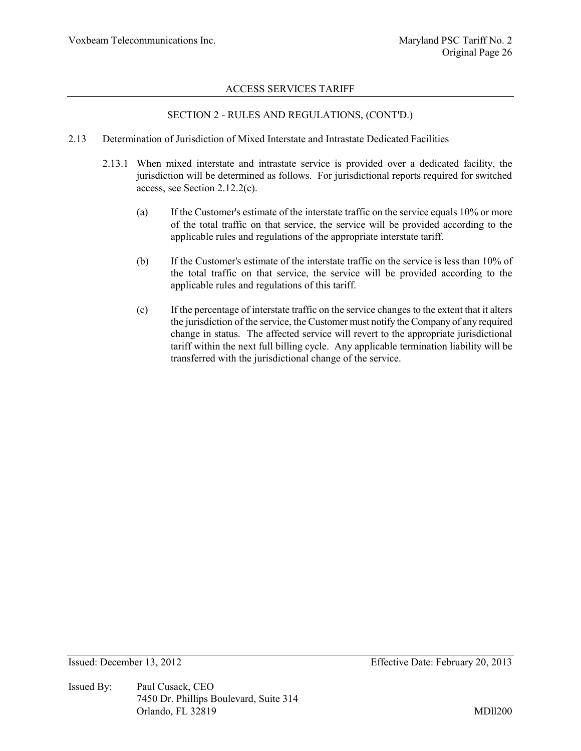#### SECTION 2 - RULES AND REGULATIONS, (CONT'D.)

- 2.13 Determination of Jurisdiction of Mixed Interstate and Intrastate Dedicated Facilities
	- 2.13.1 When mixed interstate and intrastate service is provided over a dedicated facility, the jurisdiction will be determined as follows. For jurisdictional reports required for switched access, see Section 2.12.2(c).
		- (a) If the Customer's estimate of the interstate traffic on the service equals 10% or more of the total traffic on that service, the service will be provided according to the applicable rules and regulations of the appropriate interstate tariff.
		- (b) If the Customer's estimate of the interstate traffic on the service is less than 10% of the total traffic on that service, the service will be provided according to the applicable rules and regulations of this tariff.
		- (c) If the percentage of interstate traffic on the service changes to the extent that it alters the jurisdiction of the service, the Customer must notify the Company of any required change in status. The affected service will revert to the appropriate jurisdictional tariff within the next full billing cycle. Any applicable termination liability will be transferred with the jurisdictional change of the service.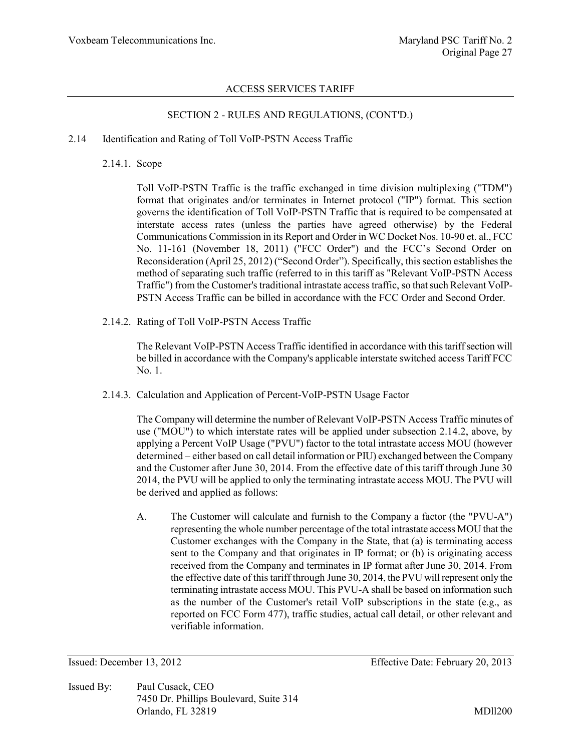### SECTION 2 - RULES AND REGULATIONS, (CONT'D.)

#### 2.14 Identification and Rating of Toll VoIP-PSTN Access Traffic

2.14.1. Scope

Toll VoIP-PSTN Traffic is the traffic exchanged in time division multiplexing ("TDM") format that originates and/or terminates in Internet protocol ("IP") format. This section governs the identification of Toll VoIP-PSTN Traffic that is required to be compensated at interstate access rates (unless the parties have agreed otherwise) by the Federal Communications Commission in its Report and Order in WC Docket Nos. 10-90 et. al., FCC No. 11-161 (November 18, 2011) ("FCC Order") and the FCC's Second Order on Reconsideration (April 25, 2012) ("Second Order"). Specifically, this section establishes the method of separating such traffic (referred to in this tariff as "Relevant VoIP-PSTN Access Traffic") from the Customer's traditional intrastate access traffic, so that such Relevant VoIP-PSTN Access Traffic can be billed in accordance with the FCC Order and Second Order.

2.14.2. Rating of Toll VoIP-PSTN Access Traffic

The Relevant VoIP-PSTN Access Traffic identified in accordance with this tariff section will be billed in accordance with the Company's applicable interstate switched access Tariff FCC No. 1.

2.14.3. Calculation and Application of Percent-VoIP-PSTN Usage Factor

The Company will determine the number of Relevant VoIP-PSTN Access Traffic minutes of use ("MOU") to which interstate rates will be applied under subsection 2.14.2, above, by applying a Percent VoIP Usage ("PVU") factor to the total intrastate access MOU (however determined – either based on call detail information or PIU) exchanged between the Company and the Customer after June 30, 2014. From the effective date of this tariff through June 30 2014, the PVU will be applied to only the terminating intrastate access MOU. The PVU will be derived and applied as follows:

A. The Customer will calculate and furnish to the Company a factor (the "PVU-A") representing the whole number percentage of the total intrastate access MOU that the Customer exchanges with the Company in the State, that (a) is terminating access sent to the Company and that originates in IP format; or (b) is originating access received from the Company and terminates in IP format after June 30, 2014. From the effective date of this tariff through June 30, 2014, the PVU will represent only the terminating intrastate access MOU. This PVU-A shall be based on information such as the number of the Customer's retail VoIP subscriptions in the state (e.g., as reported on FCC Form 477), traffic studies, actual call detail, or other relevant and verifiable information.

Issued By: Paul Cusack, CEO 7450 Dr. Phillips Boulevard, Suite 314 Orlando, FL 32819 MDll200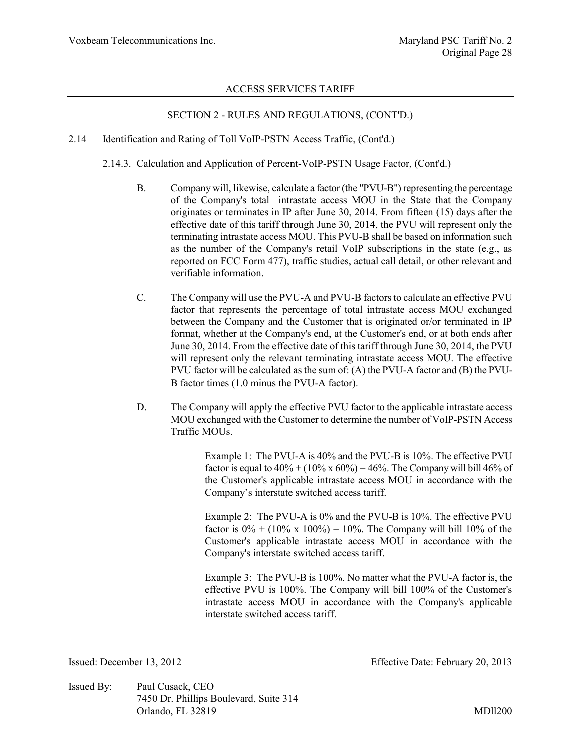#### SECTION 2 - RULES AND REGULATIONS, (CONT'D.)

2.14 Identification and Rating of Toll VoIP-PSTN Access Traffic, (Cont'd.)

2.14.3. Calculation and Application of Percent-VoIP-PSTN Usage Factor, (Cont'd.)

- B. Company will, likewise, calculate a factor (the "PVU-B") representing the percentage of the Company's total intrastate access MOU in the State that the Company originates or terminates in IP after June 30, 2014. From fifteen (15) days after the effective date of this tariff through June 30, 2014, the PVU will represent only the terminating intrastate access MOU. This PVU-B shall be based on information such as the number of the Company's retail VoIP subscriptions in the state (e.g., as reported on FCC Form 477), traffic studies, actual call detail, or other relevant and verifiable information.
- C. The Company will use the PVU-A and PVU-B factors to calculate an effective PVU factor that represents the percentage of total intrastate access MOU exchanged between the Company and the Customer that is originated or/or terminated in IP format, whether at the Company's end, at the Customer's end, or at both ends after June 30, 2014. From the effective date of this tariff through June 30, 2014, the PVU will represent only the relevant terminating intrastate access MOU. The effective PVU factor will be calculated as the sum of: (A) the PVU-A factor and (B) the PVU-B factor times (1.0 minus the PVU-A factor).
- D. The Company will apply the effective PVU factor to the applicable intrastate access MOU exchanged with the Customer to determine the number of VoIP-PSTN Access Traffic MOUs

Example 1: The PVU-A is 40% and the PVU-B is 10%. The effective PVU factor is equal to  $40\% + (10\% \times 60\%) = 46\%$ . The Company will bill 46% of the Customer's applicable intrastate access MOU in accordance with the Company's interstate switched access tariff.

Example 2: The PVU-A is 0% and the PVU-B is 10%. The effective PVU factor is  $0\% + (10\% \times 100\%) = 10\%$ . The Company will bill 10% of the Customer's applicable intrastate access MOU in accordance with the Company's interstate switched access tariff.

Example 3: The PVU-B is 100%. No matter what the PVU-A factor is, the effective PVU is 100%. The Company will bill 100% of the Customer's intrastate access MOU in accordance with the Company's applicable interstate switched access tariff.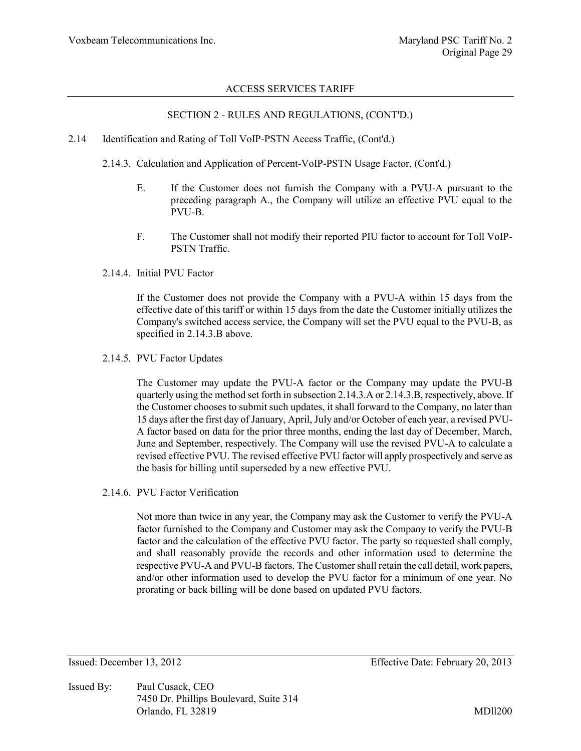### SECTION 2 - RULES AND REGULATIONS, (CONT'D.)

- 2.14 Identification and Rating of Toll VoIP-PSTN Access Traffic, (Cont'd.)
	- 2.14.3. Calculation and Application of Percent-VoIP-PSTN Usage Factor, (Cont'd.)
		- E. If the Customer does not furnish the Company with a PVU-A pursuant to the preceding paragraph A., the Company will utilize an effective PVU equal to the PVU-B.
		- F. The Customer shall not modify their reported PIU factor to account for Toll VoIP-PSTN Traffic.
	- 2.14.4. Initial PVU Factor

If the Customer does not provide the Company with a PVU-A within 15 days from the effective date of this tariff or within 15 days from the date the Customer initially utilizes the Company's switched access service, the Company will set the PVU equal to the PVU-B, as specified in 2.14.3.B above.

2.14.5. PVU Factor Updates

The Customer may update the PVU-A factor or the Company may update the PVU-B quarterly using the method set forth in subsection 2.14.3.A or 2.14.3.B, respectively, above. If the Customer chooses to submit such updates, it shall forward to the Company, no later than 15 days after the first day of January, April, July and/or October of each year, a revised PVU-A factor based on data for the prior three months, ending the last day of December, March, June and September, respectively. The Company will use the revised PVU-A to calculate a revised effective PVU. The revised effective PVU factor will apply prospectively and serve as the basis for billing until superseded by a new effective PVU.

2.14.6. PVU Factor Verification

Not more than twice in any year, the Company may ask the Customer to verify the PVU-A factor furnished to the Company and Customer may ask the Company to verify the PVU-B factor and the calculation of the effective PVU factor. The party so requested shall comply, and shall reasonably provide the records and other information used to determine the respective PVU-A and PVU-B factors. The Customer shall retain the call detail, work papers, and/or other information used to develop the PVU factor for a minimum of one year. No prorating or back billing will be done based on updated PVU factors.

Issued By: Paul Cusack, CEO 7450 Dr. Phillips Boulevard, Suite 314 Orlando, FL 32819 MDll200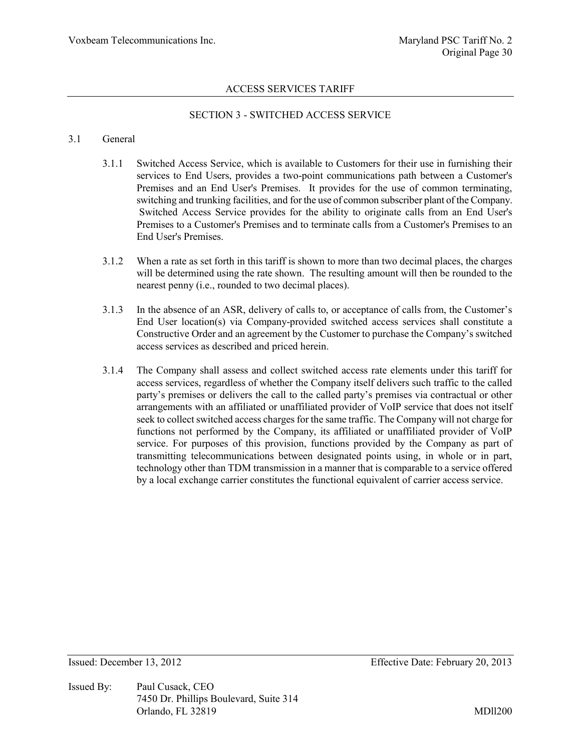# SECTION 3 - SWITCHED ACCESS SERVICE

#### 3.1 General

- 3.1.1 Switched Access Service, which is available to Customers for their use in furnishing their services to End Users, provides a two-point communications path between a Customer's Premises and an End User's Premises. It provides for the use of common terminating, switching and trunking facilities, and for the use of common subscriber plant of the Company. Switched Access Service provides for the ability to originate calls from an End User's Premises to a Customer's Premises and to terminate calls from a Customer's Premises to an End User's Premises.
- 3.1.2 When a rate as set forth in this tariff is shown to more than two decimal places, the charges will be determined using the rate shown. The resulting amount will then be rounded to the nearest penny (i.e., rounded to two decimal places).
- 3.1.3 In the absence of an ASR, delivery of calls to, or acceptance of calls from, the Customer's End User location(s) via Company-provided switched access services shall constitute a Constructive Order and an agreement by the Customer to purchase the Company's switched access services as described and priced herein.
- 3.1.4 The Company shall assess and collect switched access rate elements under this tariff for access services, regardless of whether the Company itself delivers such traffic to the called party's premises or delivers the call to the called party's premises via contractual or other arrangements with an affiliated or unaffiliated provider of VoIP service that does not itself seek to collect switched access charges for the same traffic. The Company will not charge for functions not performed by the Company, its affiliated or unaffiliated provider of VoIP service. For purposes of this provision, functions provided by the Company as part of transmitting telecommunications between designated points using, in whole or in part, technology other than TDM transmission in a manner that is comparable to a service offered by a local exchange carrier constitutes the functional equivalent of carrier access service.

Issued By: Paul Cusack, CEO 7450 Dr. Phillips Boulevard, Suite 314 Orlando, FL 32819 MDll200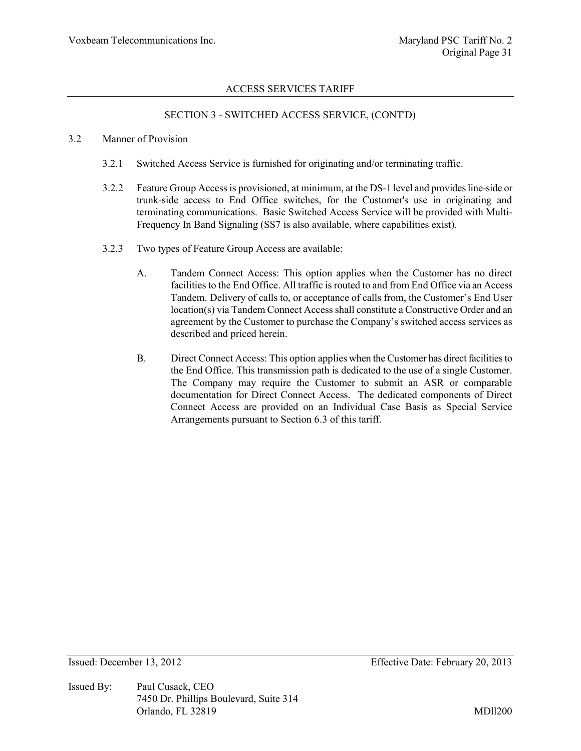### SECTION 3 - SWITCHED ACCESS SERVICE, (CONT'D)

#### 3.2 Manner of Provision

- 3.2.1 Switched Access Service is furnished for originating and/or terminating traffic.
- 3.2.2 Feature Group Access is provisioned, at minimum, at the DS-1 level and provides line-side or trunk-side access to End Office switches, for the Customer's use in originating and terminating communications. Basic Switched Access Service will be provided with Multi-Frequency In Band Signaling (SS7 is also available, where capabilities exist).
- 3.2.3 Two types of Feature Group Access are available:
	- A. Tandem Connect Access: This option applies when the Customer has no direct facilities to the End Office. All traffic is routed to and from End Office via an Access Tandem. Delivery of calls to, or acceptance of calls from, the Customer's End User location(s) via Tandem Connect Access shall constitute a Constructive Order and an agreement by the Customer to purchase the Company's switched access services as described and priced herein.
	- B. Direct Connect Access: This option applies when the Customer has direct facilities to the End Office. This transmission path is dedicated to the use of a single Customer. The Company may require the Customer to submit an ASR or comparable documentation for Direct Connect Access. The dedicated components of Direct Connect Access are provided on an Individual Case Basis as Special Service Arrangements pursuant to Section 6.3 of this tariff.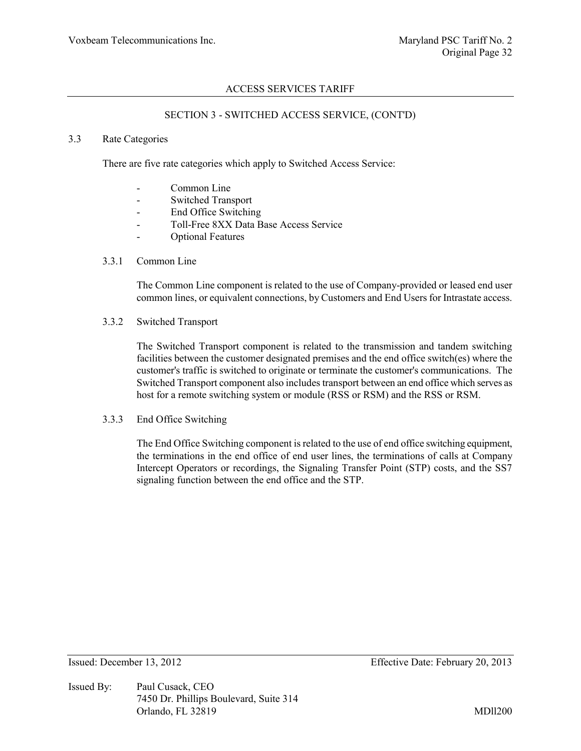#### SECTION 3 - SWITCHED ACCESS SERVICE, (CONT'D)

#### 3.3 Rate Categories

There are five rate categories which apply to Switched Access Service:

- Common Line
- Switched Transport
- End Office Switching
- Toll-Free 8XX Data Base Access Service
- Optional Features

#### 3.3.1 Common Line

The Common Line component is related to the use of Company-provided or leased end user common lines, or equivalent connections, by Customers and End Users for Intrastate access.

3.3.2 Switched Transport

The Switched Transport component is related to the transmission and tandem switching facilities between the customer designated premises and the end office switch(es) where the customer's traffic is switched to originate or terminate the customer's communications. The Switched Transport component also includes transport between an end office which serves as host for a remote switching system or module (RSS or RSM) and the RSS or RSM.

3.3.3 End Office Switching

The End Office Switching component is related to the use of end office switching equipment, the terminations in the end office of end user lines, the terminations of calls at Company Intercept Operators or recordings, the Signaling Transfer Point (STP) costs, and the SS7 signaling function between the end office and the STP.

Issued By: Paul Cusack, CEO 7450 Dr. Phillips Boulevard, Suite 314 Orlando, FL 32819 MDll200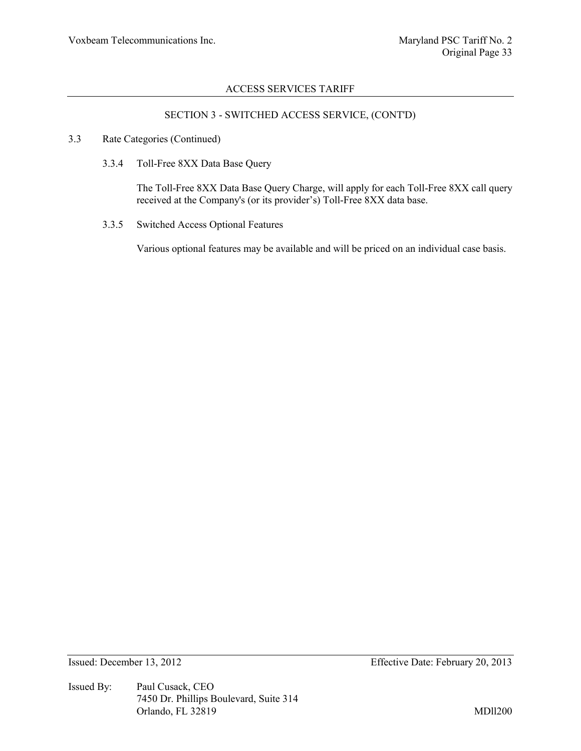### SECTION 3 - SWITCHED ACCESS SERVICE, (CONT'D)

- 3.3 Rate Categories (Continued)
	- 3.3.4 Toll-Free 8XX Data Base Query

The Toll-Free 8XX Data Base Query Charge, will apply for each Toll-Free 8XX call query received at the Company's (or its provider's) Toll-Free 8XX data base.

3.3.5 Switched Access Optional Features

Various optional features may be available and will be priced on an individual case basis.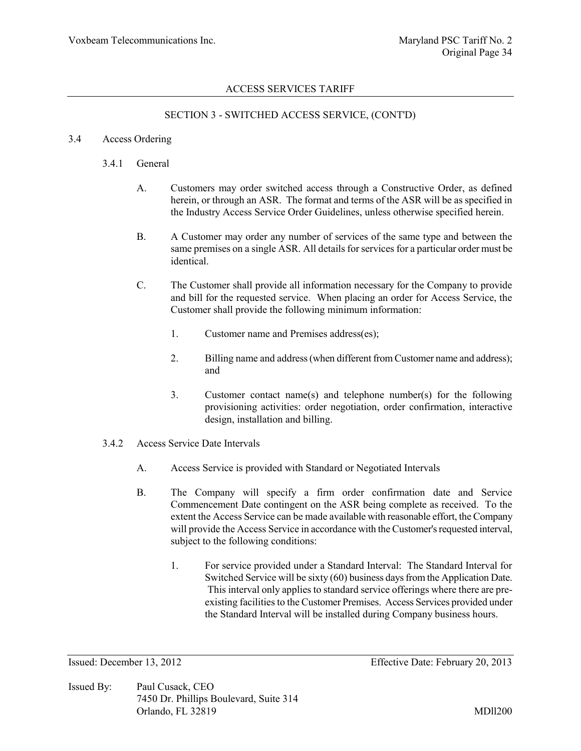# SECTION 3 - SWITCHED ACCESS SERVICE, (CONT'D)

#### 3.4 Access Ordering

- 3.4.1 General
	- A. Customers may order switched access through a Constructive Order, as defined herein, or through an ASR. The format and terms of the ASR will be as specified in the Industry Access Service Order Guidelines, unless otherwise specified herein.
	- B. A Customer may order any number of services of the same type and between the same premises on a single ASR. All details for services for a particular order must be identical.
	- C. The Customer shall provide all information necessary for the Company to provide and bill for the requested service. When placing an order for Access Service, the Customer shall provide the following minimum information:
		- 1. Customer name and Premises address(es);
		- 2. Billing name and address (when different from Customer name and address); and
		- 3. Customer contact name(s) and telephone number(s) for the following provisioning activities: order negotiation, order confirmation, interactive design, installation and billing.
- 3.4.2 Access Service Date Intervals
	- A. Access Service is provided with Standard or Negotiated Intervals
	- B. The Company will specify a firm order confirmation date and Service Commencement Date contingent on the ASR being complete as received. To the extent the Access Service can be made available with reasonable effort, the Company will provide the Access Service in accordance with the Customer's requested interval, subject to the following conditions:
		- 1. For service provided under a Standard Interval: The Standard Interval for Switched Service will be sixty (60) business days from the Application Date. This interval only applies to standard service offerings where there are preexisting facilities to the Customer Premises. Access Services provided under the Standard Interval will be installed during Company business hours.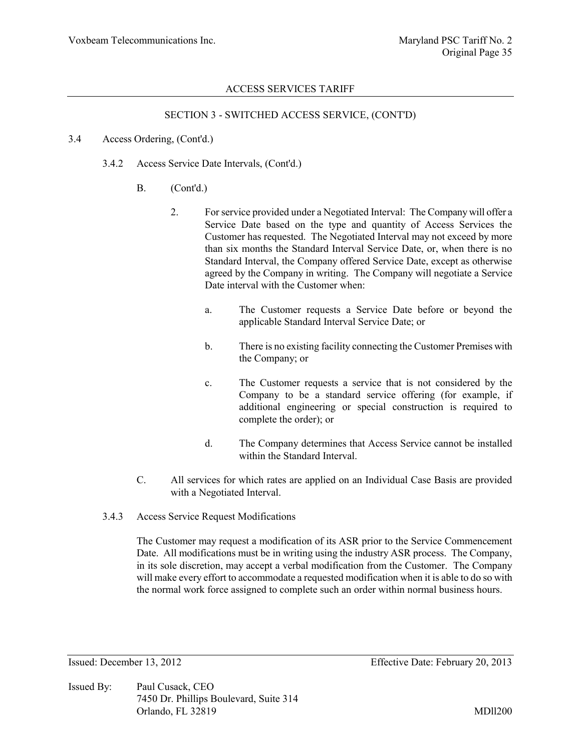#### SECTION 3 - SWITCHED ACCESS SERVICE, (CONT'D)

#### 3.4 Access Ordering, (Cont'd.)

- 3.4.2 Access Service Date Intervals, (Cont'd.)
	- B. (Cont'd.)
		- 2. For service provided under a Negotiated Interval: The Company will offer a Service Date based on the type and quantity of Access Services the Customer has requested. The Negotiated Interval may not exceed by more than six months the Standard Interval Service Date, or, when there is no Standard Interval, the Company offered Service Date, except as otherwise agreed by the Company in writing. The Company will negotiate a Service Date interval with the Customer when:
			- a. The Customer requests a Service Date before or beyond the applicable Standard Interval Service Date; or
			- b. There is no existing facility connecting the Customer Premises with the Company; or
			- c. The Customer requests a service that is not considered by the Company to be a standard service offering (for example, if additional engineering or special construction is required to complete the order); or
			- d. The Company determines that Access Service cannot be installed within the Standard Interval.
	- C. All services for which rates are applied on an Individual Case Basis are provided with a Negotiated Interval.
- 3.4.3 Access Service Request Modifications

The Customer may request a modification of its ASR prior to the Service Commencement Date. All modifications must be in writing using the industry ASR process. The Company, in its sole discretion, may accept a verbal modification from the Customer. The Company will make every effort to accommodate a requested modification when it is able to do so with the normal work force assigned to complete such an order within normal business hours.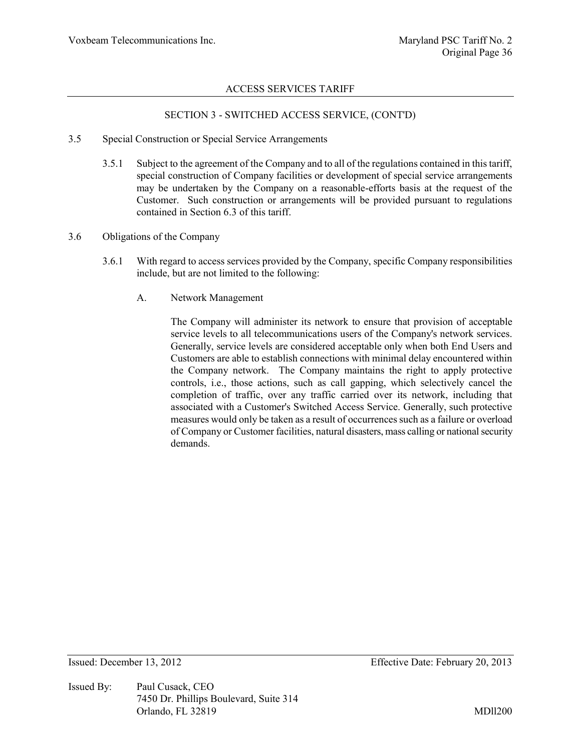# SECTION 3 - SWITCHED ACCESS SERVICE, (CONT'D)

- 3.5 Special Construction or Special Service Arrangements
	- 3.5.1 Subject to the agreement of the Company and to all of the regulations contained in this tariff, special construction of Company facilities or development of special service arrangements may be undertaken by the Company on a reasonable-efforts basis at the request of the Customer. Such construction or arrangements will be provided pursuant to regulations contained in Section 6.3 of this tariff.
- 3.6 Obligations of the Company
	- 3.6.1 With regard to access services provided by the Company, specific Company responsibilities include, but are not limited to the following:
		- A. Network Management

The Company will administer its network to ensure that provision of acceptable service levels to all telecommunications users of the Company's network services. Generally, service levels are considered acceptable only when both End Users and Customers are able to establish connections with minimal delay encountered within the Company network. The Company maintains the right to apply protective controls, i.e., those actions, such as call gapping, which selectively cancel the completion of traffic, over any traffic carried over its network, including that associated with a Customer's Switched Access Service. Generally, such protective measures would only be taken as a result of occurrences such as a failure or overload of Company or Customer facilities, natural disasters, mass calling or national security demands.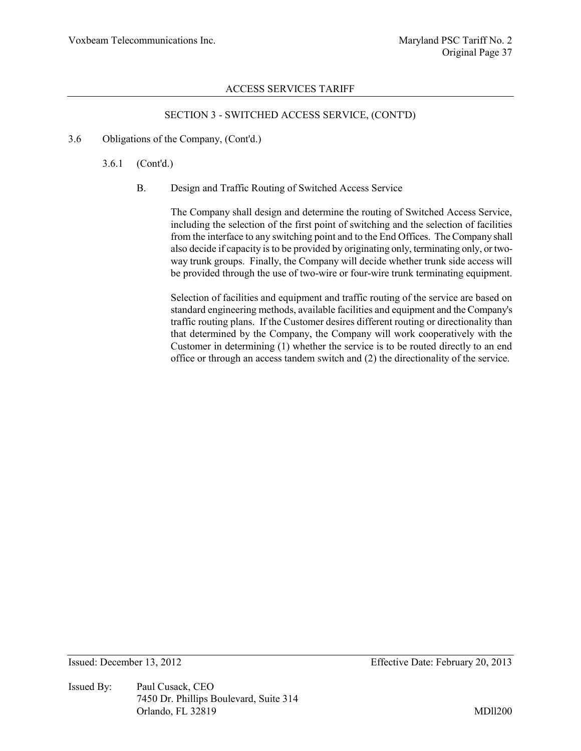# SECTION 3 - SWITCHED ACCESS SERVICE, (CONT'D)

3.6 Obligations of the Company, (Cont'd.)

3.6.1 (Cont'd.)

B. Design and Traffic Routing of Switched Access Service

The Company shall design and determine the routing of Switched Access Service, including the selection of the first point of switching and the selection of facilities from the interface to any switching point and to the End Offices. The Company shall also decide if capacity is to be provided by originating only, terminating only, or twoway trunk groups. Finally, the Company will decide whether trunk side access will be provided through the use of two-wire or four-wire trunk terminating equipment.

Selection of facilities and equipment and traffic routing of the service are based on standard engineering methods, available facilities and equipment and the Company's traffic routing plans. If the Customer desires different routing or directionality than that determined by the Company, the Company will work cooperatively with the Customer in determining (1) whether the service is to be routed directly to an end office or through an access tandem switch and (2) the directionality of the service.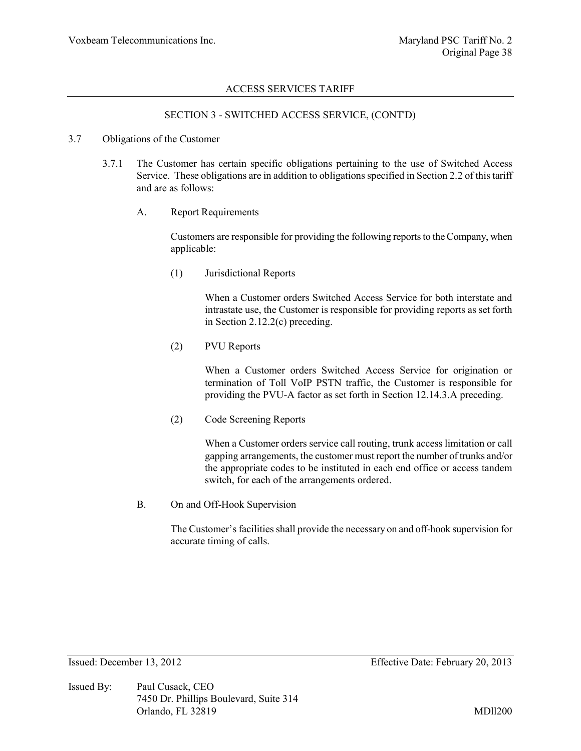#### SECTION 3 - SWITCHED ACCESS SERVICE, (CONT'D)

#### 3.7 Obligations of the Customer

- 3.7.1 The Customer has certain specific obligations pertaining to the use of Switched Access Service. These obligations are in addition to obligations specified in Section 2.2 of this tariff and are as follows:
	- A. Report Requirements

Customers are responsible for providing the following reports to the Company, when applicable:

(1) Jurisdictional Reports

When a Customer orders Switched Access Service for both interstate and intrastate use, the Customer is responsible for providing reports as set forth in Section 2.12.2(c) preceding.

(2) PVU Reports

When a Customer orders Switched Access Service for origination or termination of Toll VoIP PSTN traffic, the Customer is responsible for providing the PVU-A factor as set forth in Section 12.14.3.A preceding.

(2) Code Screening Reports

When a Customer orders service call routing, trunk access limitation or call gapping arrangements, the customer must report the number of trunks and/or the appropriate codes to be instituted in each end office or access tandem switch, for each of the arrangements ordered.

B. On and Off-Hook Supervision

The Customer's facilities shall provide the necessary on and off-hook supervision for accurate timing of calls.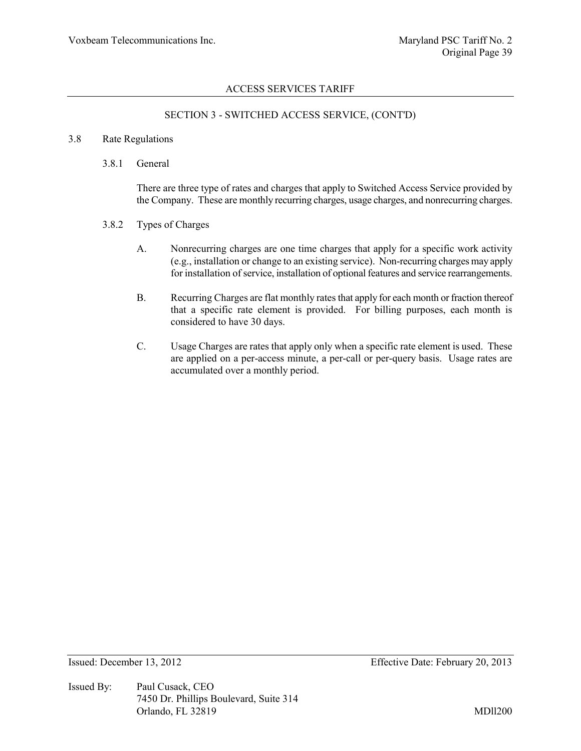# SECTION 3 - SWITCHED ACCESS SERVICE, (CONT'D)

#### 3.8 Rate Regulations

3.8.1 General

There are three type of rates and charges that apply to Switched Access Service provided by the Company. These are monthly recurring charges, usage charges, and nonrecurring charges.

- 3.8.2 Types of Charges
	- A. Nonrecurring charges are one time charges that apply for a specific work activity (e.g., installation or change to an existing service). Non-recurring charges may apply for installation of service, installation of optional features and service rearrangements.
	- B. Recurring Charges are flat monthly rates that apply for each month or fraction thereof that a specific rate element is provided. For billing purposes, each month is considered to have 30 days.
	- C. Usage Charges are rates that apply only when a specific rate element is used. These are applied on a per-access minute, a per-call or per-query basis. Usage rates are accumulated over a monthly period.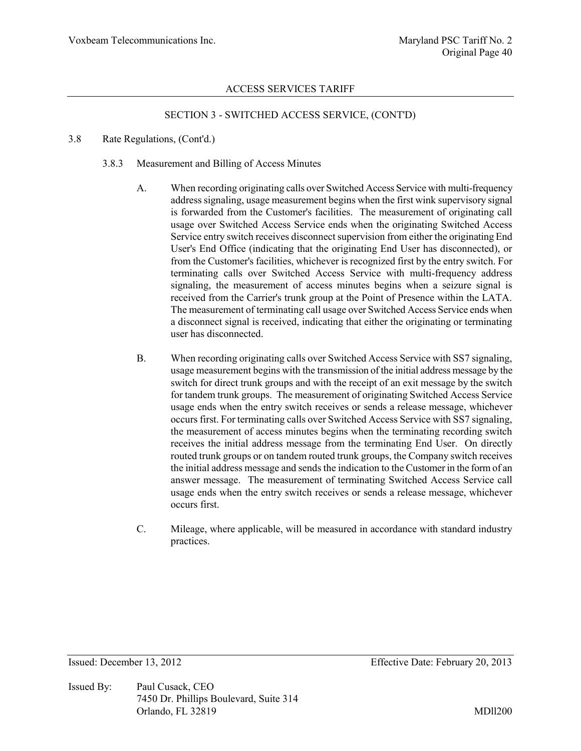### SECTION 3 - SWITCHED ACCESS SERVICE, (CONT'D)

- 3.8 Rate Regulations, (Cont'd.)
	- 3.8.3 Measurement and Billing of Access Minutes
		- A. When recording originating calls over Switched Access Service with multi-frequency address signaling, usage measurement begins when the first wink supervisory signal is forwarded from the Customer's facilities. The measurement of originating call usage over Switched Access Service ends when the originating Switched Access Service entry switch receives disconnect supervision from either the originating End User's End Office (indicating that the originating End User has disconnected), or from the Customer's facilities, whichever is recognized first by the entry switch. For terminating calls over Switched Access Service with multi-frequency address signaling, the measurement of access minutes begins when a seizure signal is received from the Carrier's trunk group at the Point of Presence within the LATA. The measurement of terminating call usage over Switched Access Service ends when a disconnect signal is received, indicating that either the originating or terminating user has disconnected.
		- B. When recording originating calls over Switched Access Service with SS7 signaling, usage measurement begins with the transmission of the initial address message by the switch for direct trunk groups and with the receipt of an exit message by the switch for tandem trunk groups. The measurement of originating Switched Access Service usage ends when the entry switch receives or sends a release message, whichever occurs first. For terminating calls over Switched Access Service with SS7 signaling, the measurement of access minutes begins when the terminating recording switch receives the initial address message from the terminating End User. On directly routed trunk groups or on tandem routed trunk groups, the Company switch receives the initial address message and sends the indication to the Customer in the form of an answer message. The measurement of terminating Switched Access Service call usage ends when the entry switch receives or sends a release message, whichever occurs first.
		- C. Mileage, where applicable, will be measured in accordance with standard industry practices.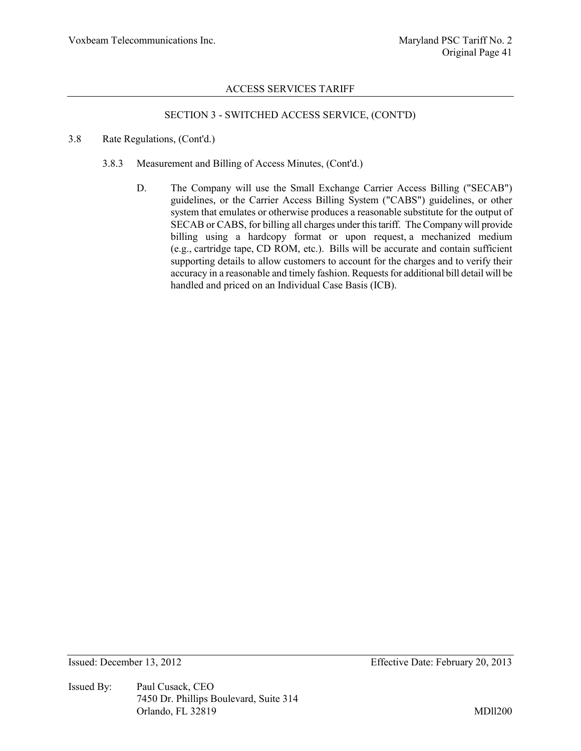# SECTION 3 - SWITCHED ACCESS SERVICE, (CONT'D)

- 3.8 Rate Regulations, (Cont'd.)
	- 3.8.3 Measurement and Billing of Access Minutes, (Cont'd.)
		- D. The Company will use the Small Exchange Carrier Access Billing ("SECAB") guidelines, or the Carrier Access Billing System ("CABS") guidelines, or other system that emulates or otherwise produces a reasonable substitute for the output of SECAB or CABS, for billing all charges under this tariff. The Company will provide billing using a hardcopy format or upon request, a mechanized medium (e.g., cartridge tape, CD ROM, etc.). Bills will be accurate and contain sufficient supporting details to allow customers to account for the charges and to verify their accuracy in a reasonable and timely fashion. Requests for additional bill detail will be handled and priced on an Individual Case Basis (ICB).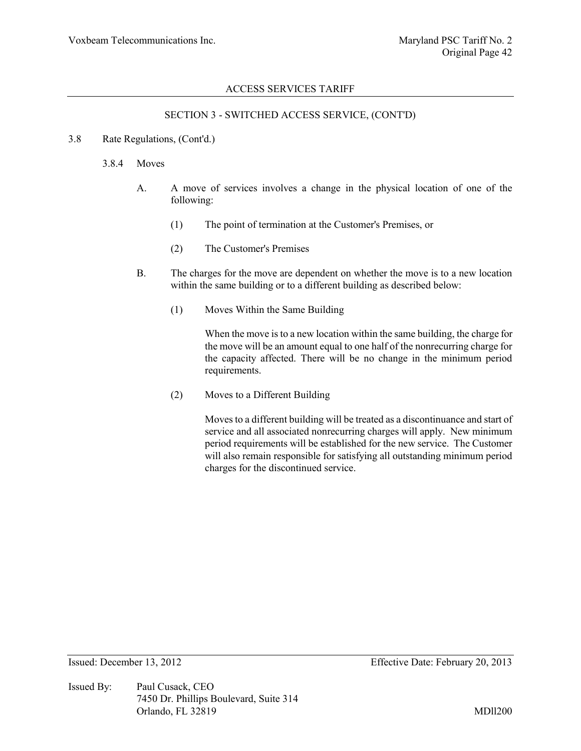### SECTION 3 - SWITCHED ACCESS SERVICE, (CONT'D)

#### 3.8 Rate Regulations, (Cont'd.)

#### 3.8.4 Moves

- A. A move of services involves a change in the physical location of one of the following:
	- (1) The point of termination at the Customer's Premises, or
	- (2) The Customer's Premises
- B. The charges for the move are dependent on whether the move is to a new location within the same building or to a different building as described below:
	- (1) Moves Within the Same Building

When the move is to a new location within the same building, the charge for the move will be an amount equal to one half of the nonrecurring charge for the capacity affected. There will be no change in the minimum period requirements.

(2) Moves to a Different Building

Moves to a different building will be treated as a discontinuance and start of service and all associated nonrecurring charges will apply. New minimum period requirements will be established for the new service. The Customer will also remain responsible for satisfying all outstanding minimum period charges for the discontinued service.

Issued By: Paul Cusack, CEO 7450 Dr. Phillips Boulevard, Suite 314 Orlando, FL 32819 MDll200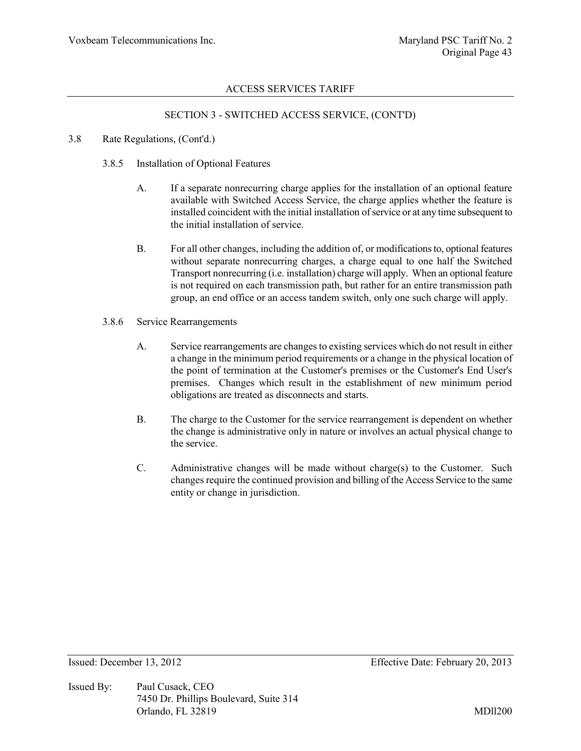### SECTION 3 - SWITCHED ACCESS SERVICE, (CONT'D)

#### 3.8 Rate Regulations, (Cont'd.)

- 3.8.5 Installation of Optional Features
	- A. If a separate nonrecurring charge applies for the installation of an optional feature available with Switched Access Service, the charge applies whether the feature is installed coincident with the initial installation of service or at any time subsequent to the initial installation of service.
	- B. For all other changes, including the addition of, or modifications to, optional features without separate nonrecurring charges, a charge equal to one half the Switched Transport nonrecurring (i.e. installation) charge will apply. When an optional feature is not required on each transmission path, but rather for an entire transmission path group, an end office or an access tandem switch, only one such charge will apply.
- 3.8.6 Service Rearrangements
	- A. Service rearrangements are changes to existing services which do not result in either a change in the minimum period requirements or a change in the physical location of the point of termination at the Customer's premises or the Customer's End User's premises. Changes which result in the establishment of new minimum period obligations are treated as disconnects and starts.
	- B. The charge to the Customer for the service rearrangement is dependent on whether the change is administrative only in nature or involves an actual physical change to the service.
	- C. Administrative changes will be made without charge(s) to the Customer. Such changes require the continued provision and billing of the Access Service to the same entity or change in jurisdiction.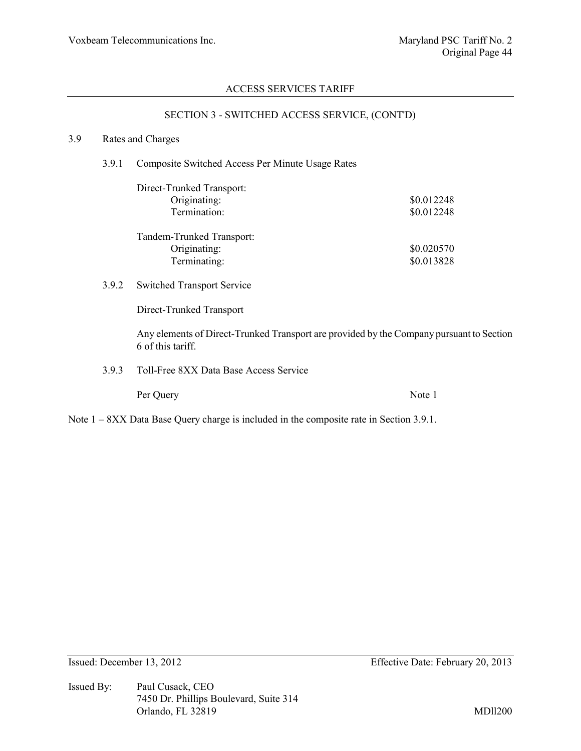# SECTION 3 - SWITCHED ACCESS SERVICE, (CONT'D)

#### 3.9 Rates and Charges

3.9.1 Composite Switched Access Per Minute Usage Rates

| Direct-Trunked Transport: |            |
|---------------------------|------------|
| Originating:              | \$0.012248 |
| Termination:              | \$0.012248 |
|                           |            |
| Tandem-Trunked Transport: |            |
| Originating:              | \$0.020570 |
| Terminating:              | \$0.013828 |

3.9.2 Switched Transport Service

Direct-Trunked Transport

Any elements of Direct-Trunked Transport are provided by the Company pursuant to Section 6 of this tariff.

3.9.3 Toll-Free 8XX Data Base Access Service

Per Query Note 1

Note  $1 - 8XX$  Data Base Query charge is included in the composite rate in Section 3.9.1.

Issued By: Paul Cusack, CEO 7450 Dr. Phillips Boulevard, Suite 314 Orlando, FL 32819 MDll200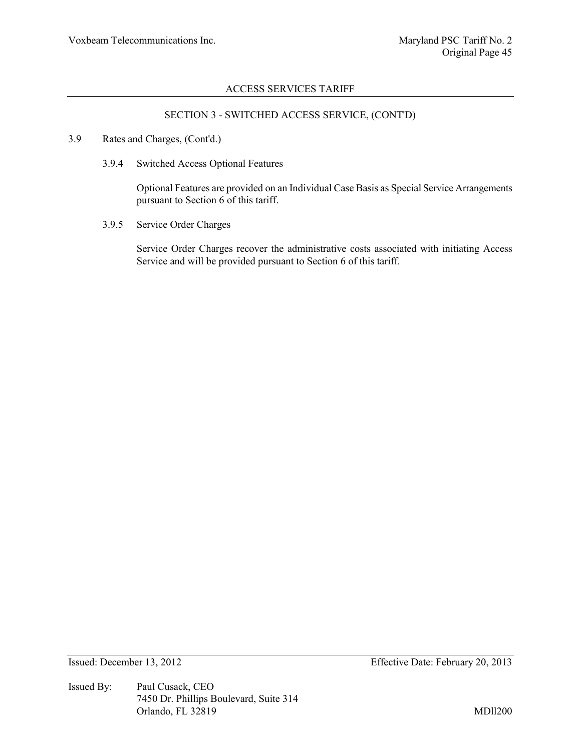### SECTION 3 - SWITCHED ACCESS SERVICE, (CONT'D)

- 3.9 Rates and Charges, (Cont'd.)
	- 3.9.4 Switched Access Optional Features

Optional Features are provided on an Individual Case Basis as Special Service Arrangements pursuant to Section 6 of this tariff.

3.9.5 Service Order Charges

Service Order Charges recover the administrative costs associated with initiating Access Service and will be provided pursuant to Section 6 of this tariff.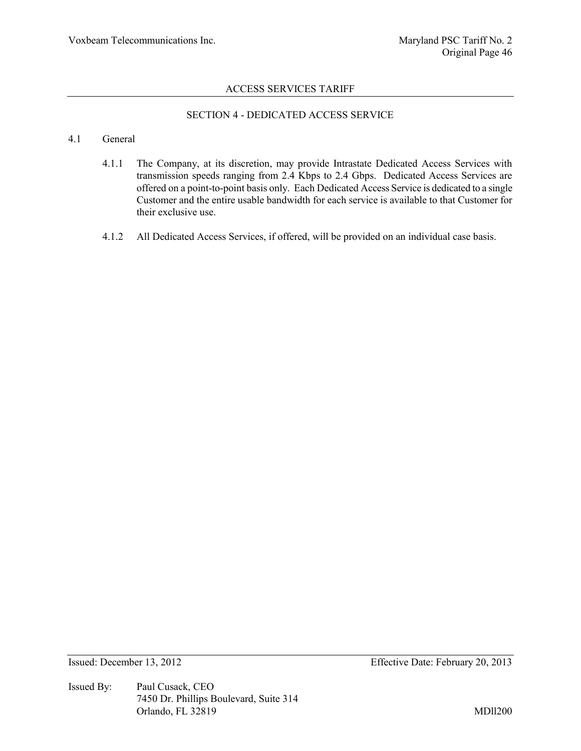# SECTION 4 - DEDICATED ACCESS SERVICE

#### 4.1 General

- 4.1.1 The Company, at its discretion, may provide Intrastate Dedicated Access Services with transmission speeds ranging from 2.4 Kbps to 2.4 Gbps. Dedicated Access Services are offered on a point-to-point basis only. Each Dedicated Access Service is dedicated to a single Customer and the entire usable bandwidth for each service is available to that Customer for their exclusive use.
- 4.1.2 All Dedicated Access Services, if offered, will be provided on an individual case basis.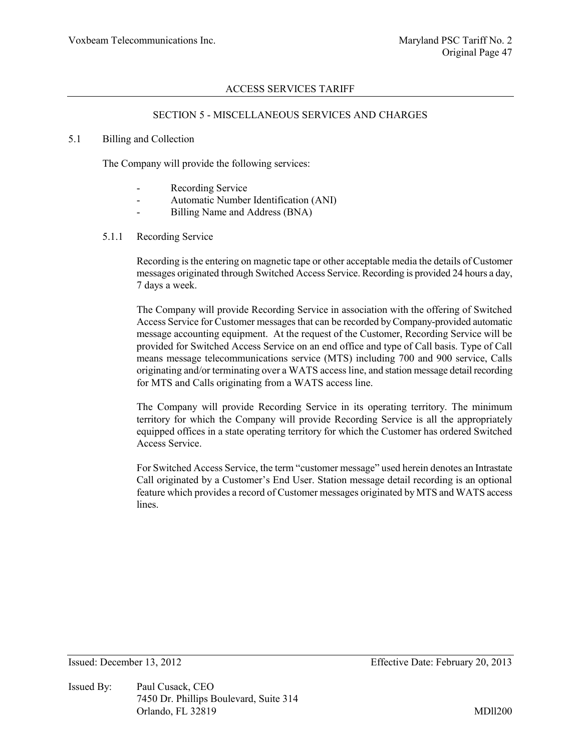#### SECTION 5 - MISCELLANEOUS SERVICES AND CHARGES

#### 5.1 Billing and Collection

The Company will provide the following services:

- Recording Service
- Automatic Number Identification (ANI)
- Billing Name and Address (BNA)
- 5.1.1 Recording Service

Recording is the entering on magnetic tape or other acceptable media the details of Customer messages originated through Switched Access Service. Recording is provided 24 hours a day, 7 days a week.

The Company will provide Recording Service in association with the offering of Switched Access Service for Customer messages that can be recorded by Company-provided automatic message accounting equipment. At the request of the Customer, Recording Service will be provided for Switched Access Service on an end office and type of Call basis. Type of Call means message telecommunications service (MTS) including 700 and 900 service, Calls originating and/or terminating over a WATS access line, and station message detail recording for MTS and Calls originating from a WATS access line.

The Company will provide Recording Service in its operating territory. The minimum territory for which the Company will provide Recording Service is all the appropriately equipped offices in a state operating territory for which the Customer has ordered Switched Access Service.

For Switched Access Service, the term "customer message" used herein denotes an Intrastate Call originated by a Customer's End User. Station message detail recording is an optional feature which provides a record of Customer messages originated by MTS and WATS access lines.

Issued By: Paul Cusack, CEO 7450 Dr. Phillips Boulevard, Suite 314 Orlando, FL 32819 MDll200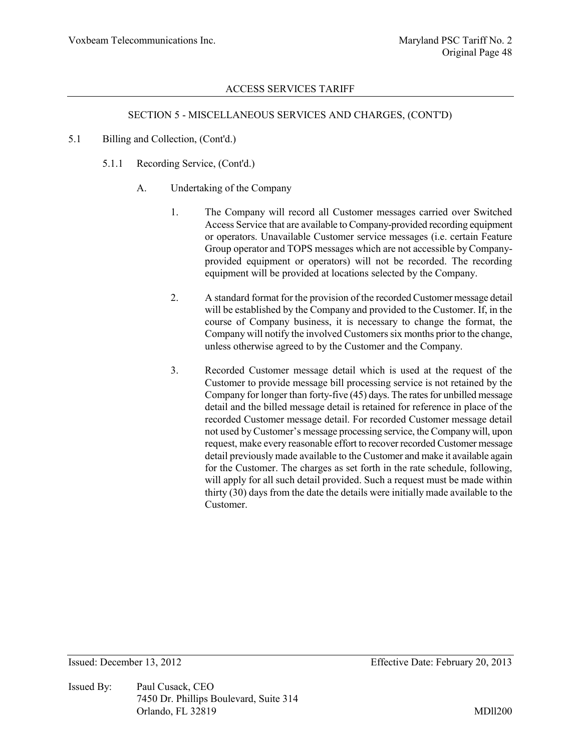#### SECTION 5 - MISCELLANEOUS SERVICES AND CHARGES, (CONT'D)

- 5.1 Billing and Collection, (Cont'd.)
	- 5.1.1 Recording Service, (Cont'd.)
		- A. Undertaking of the Company
			- 1. The Company will record all Customer messages carried over Switched Access Service that are available to Company-provided recording equipment or operators. Unavailable Customer service messages (i.e. certain Feature Group operator and TOPS messages which are not accessible by Companyprovided equipment or operators) will not be recorded. The recording equipment will be provided at locations selected by the Company.
			- 2. A standard format for the provision of the recorded Customer message detail will be established by the Company and provided to the Customer. If, in the course of Company business, it is necessary to change the format, the Company will notify the involved Customers six months prior to the change, unless otherwise agreed to by the Customer and the Company.
			- 3. Recorded Customer message detail which is used at the request of the Customer to provide message bill processing service is not retained by the Company for longer than forty-five (45) days. The rates for unbilled message detail and the billed message detail is retained for reference in place of the recorded Customer message detail. For recorded Customer message detail not used by Customer's message processing service, the Company will, upon request, make every reasonable effort to recover recorded Customer message detail previously made available to the Customer and make it available again for the Customer. The charges as set forth in the rate schedule, following, will apply for all such detail provided. Such a request must be made within thirty (30) days from the date the details were initially made available to the Customer.

Issued By: Paul Cusack, CEO 7450 Dr. Phillips Boulevard, Suite 314 Orlando, FL 32819 MDll200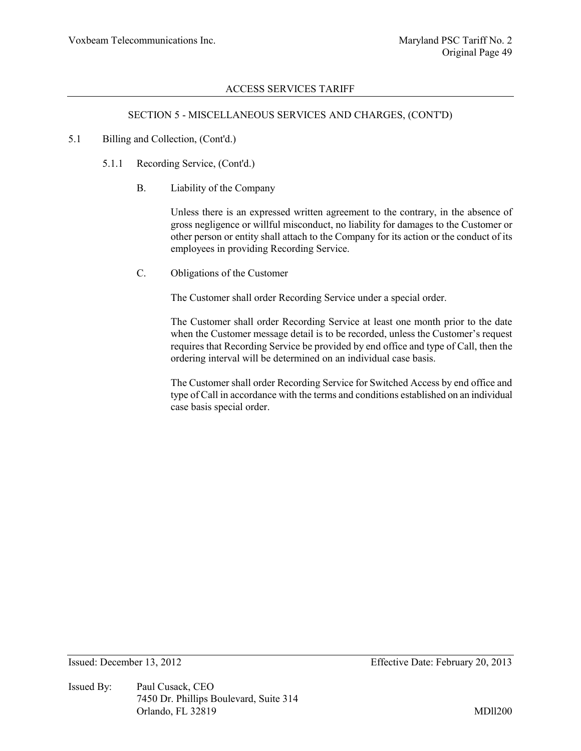#### SECTION 5 - MISCELLANEOUS SERVICES AND CHARGES, (CONT'D)

#### 5.1 Billing and Collection, (Cont'd.)

- 5.1.1 Recording Service, (Cont'd.)
	- B. Liability of the Company

Unless there is an expressed written agreement to the contrary, in the absence of gross negligence or willful misconduct, no liability for damages to the Customer or other person or entity shall attach to the Company for its action or the conduct of its employees in providing Recording Service.

C. Obligations of the Customer

The Customer shall order Recording Service under a special order.

The Customer shall order Recording Service at least one month prior to the date when the Customer message detail is to be recorded, unless the Customer's request requires that Recording Service be provided by end office and type of Call, then the ordering interval will be determined on an individual case basis.

The Customer shall order Recording Service for Switched Access by end office and type of Call in accordance with the terms and conditions established on an individual case basis special order.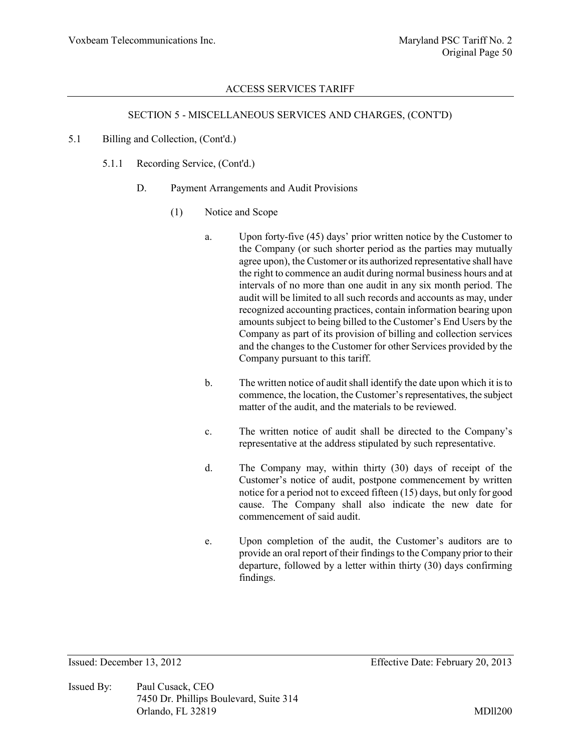#### SECTION 5 - MISCELLANEOUS SERVICES AND CHARGES, (CONT'D)

- 5.1 Billing and Collection, (Cont'd.)
	- 5.1.1 Recording Service, (Cont'd.)
		- D. Payment Arrangements and Audit Provisions
			- (1) Notice and Scope
				- a. Upon forty-five (45) days' prior written notice by the Customer to the Company (or such shorter period as the parties may mutually agree upon), the Customer or its authorized representative shall have the right to commence an audit during normal business hours and at intervals of no more than one audit in any six month period. The audit will be limited to all such records and accounts as may, under recognized accounting practices, contain information bearing upon amounts subject to being billed to the Customer's End Users by the Company as part of its provision of billing and collection services and the changes to the Customer for other Services provided by the Company pursuant to this tariff.
				- b. The written notice of audit shall identify the date upon which it is to commence, the location, the Customer's representatives, the subject matter of the audit, and the materials to be reviewed.
				- c. The written notice of audit shall be directed to the Company's representative at the address stipulated by such representative.
				- d. The Company may, within thirty (30) days of receipt of the Customer's notice of audit, postpone commencement by written notice for a period not to exceed fifteen (15) days, but only for good cause. The Company shall also indicate the new date for commencement of said audit.
				- e. Upon completion of the audit, the Customer's auditors are to provide an oral report of their findings to the Company prior to their departure, followed by a letter within thirty (30) days confirming findings.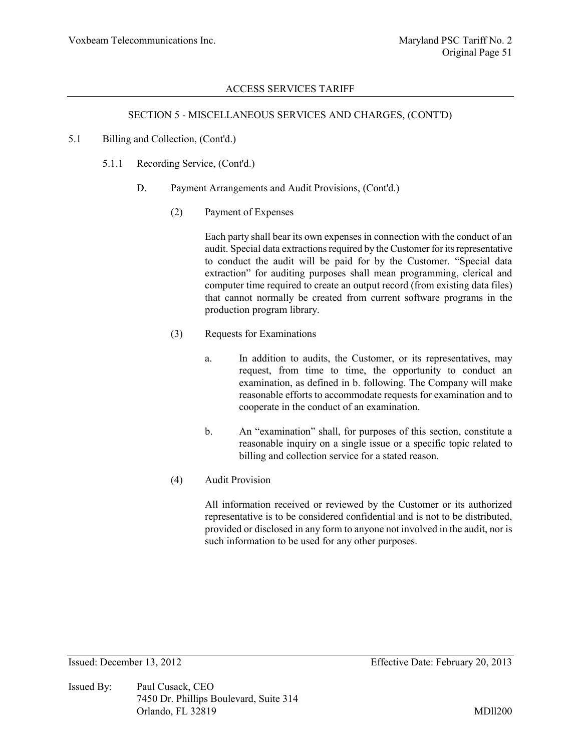#### SECTION 5 - MISCELLANEOUS SERVICES AND CHARGES, (CONT'D)

#### 5.1 Billing and Collection, (Cont'd.)

- 5.1.1 Recording Service, (Cont'd.)
	- D. Payment Arrangements and Audit Provisions, (Cont'd.)
		- (2) Payment of Expenses

Each party shall bear its own expenses in connection with the conduct of an audit. Special data extractions required by the Customer for its representative to conduct the audit will be paid for by the Customer. "Special data extraction" for auditing purposes shall mean programming, clerical and computer time required to create an output record (from existing data files) that cannot normally be created from current software programs in the production program library.

- (3) Requests for Examinations
	- a. In addition to audits, the Customer, or its representatives, may request, from time to time, the opportunity to conduct an examination, as defined in b. following. The Company will make reasonable efforts to accommodate requests for examination and to cooperate in the conduct of an examination.
	- b. An "examination" shall, for purposes of this section, constitute a reasonable inquiry on a single issue or a specific topic related to billing and collection service for a stated reason.
- (4) Audit Provision

All information received or reviewed by the Customer or its authorized representative is to be considered confidential and is not to be distributed, provided or disclosed in any form to anyone not involved in the audit, nor is such information to be used for any other purposes.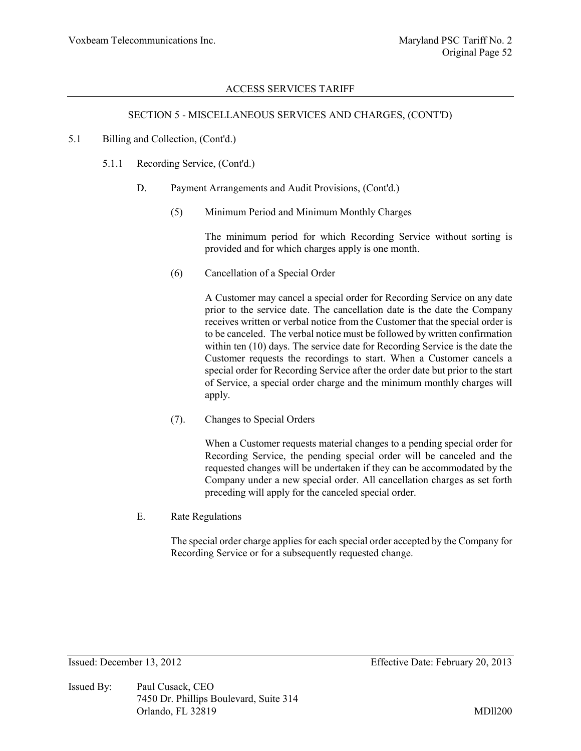#### SECTION 5 - MISCELLANEOUS SERVICES AND CHARGES, (CONT'D)

#### 5.1 Billing and Collection, (Cont'd.)

- 5.1.1 Recording Service, (Cont'd.)
	- D. Payment Arrangements and Audit Provisions, (Cont'd.)
		- (5) Minimum Period and Minimum Monthly Charges

The minimum period for which Recording Service without sorting is provided and for which charges apply is one month.

(6) Cancellation of a Special Order

A Customer may cancel a special order for Recording Service on any date prior to the service date. The cancellation date is the date the Company receives written or verbal notice from the Customer that the special order is to be canceled. The verbal notice must be followed by written confirmation within ten (10) days. The service date for Recording Service is the date the Customer requests the recordings to start. When a Customer cancels a special order for Recording Service after the order date but prior to the start of Service, a special order charge and the minimum monthly charges will apply.

(7). Changes to Special Orders

When a Customer requests material changes to a pending special order for Recording Service, the pending special order will be canceled and the requested changes will be undertaken if they can be accommodated by the Company under a new special order. All cancellation charges as set forth preceding will apply for the canceled special order.

E. Rate Regulations

The special order charge applies for each special order accepted by the Company for Recording Service or for a subsequently requested change.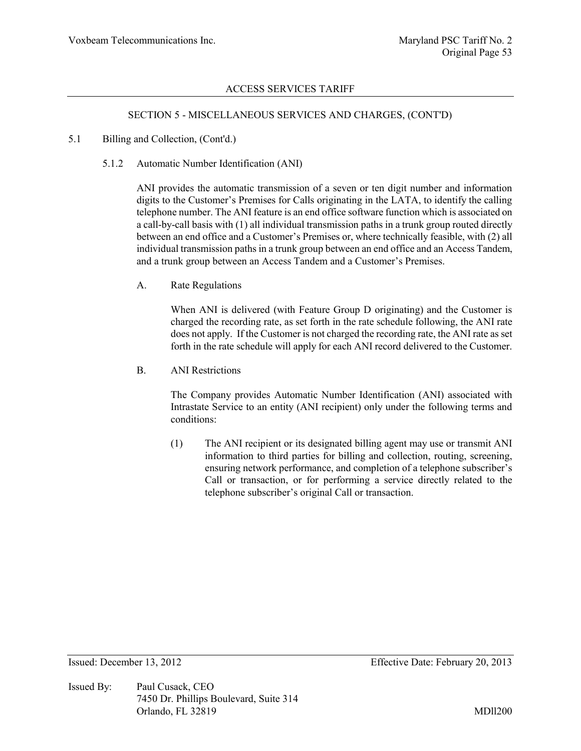#### SECTION 5 - MISCELLANEOUS SERVICES AND CHARGES, (CONT'D)

#### 5.1 Billing and Collection, (Cont'd.)

#### 5.1.2 Automatic Number Identification (ANI)

ANI provides the automatic transmission of a seven or ten digit number and information digits to the Customer's Premises for Calls originating in the LATA, to identify the calling telephone number. The ANI feature is an end office software function which is associated on a call-by-call basis with (1) all individual transmission paths in a trunk group routed directly between an end office and a Customer's Premises or, where technically feasible, with (2) all individual transmission paths in a trunk group between an end office and an Access Tandem, and a trunk group between an Access Tandem and a Customer's Premises.

A. Rate Regulations

When ANI is delivered (with Feature Group D originating) and the Customer is charged the recording rate, as set forth in the rate schedule following, the ANI rate does not apply. If the Customer is not charged the recording rate, the ANI rate as set forth in the rate schedule will apply for each ANI record delivered to the Customer.

B. ANI Restrictions

The Company provides Automatic Number Identification (ANI) associated with Intrastate Service to an entity (ANI recipient) only under the following terms and conditions:

(1) The ANI recipient or its designated billing agent may use or transmit ANI information to third parties for billing and collection, routing, screening, ensuring network performance, and completion of a telephone subscriber's Call or transaction, or for performing a service directly related to the telephone subscriber's original Call or transaction.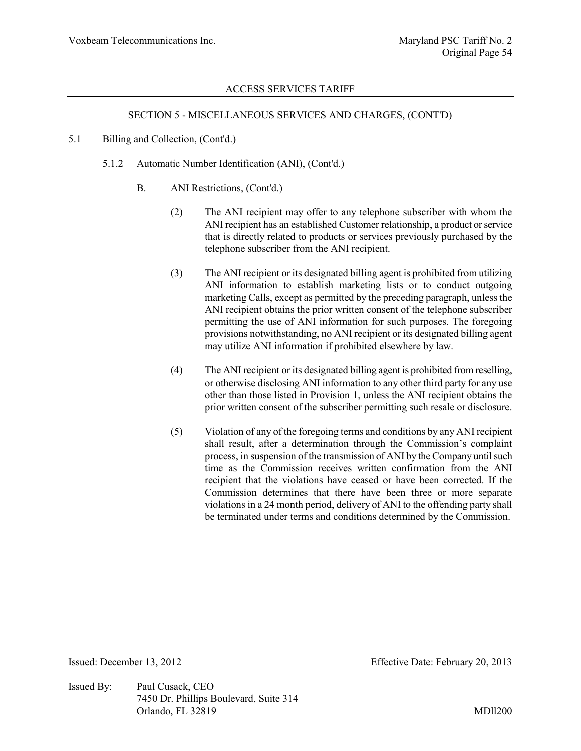#### SECTION 5 - MISCELLANEOUS SERVICES AND CHARGES, (CONT'D)

#### 5.1 Billing and Collection, (Cont'd.)

- 5.1.2 Automatic Number Identification (ANI), (Cont'd.)
	- B. ANI Restrictions, (Cont'd.)
		- (2) The ANI recipient may offer to any telephone subscriber with whom the ANI recipient has an established Customer relationship, a product or service that is directly related to products or services previously purchased by the telephone subscriber from the ANI recipient.
		- (3) The ANI recipient or its designated billing agent is prohibited from utilizing ANI information to establish marketing lists or to conduct outgoing marketing Calls, except as permitted by the preceding paragraph, unless the ANI recipient obtains the prior written consent of the telephone subscriber permitting the use of ANI information for such purposes. The foregoing provisions notwithstanding, no ANI recipient or its designated billing agent may utilize ANI information if prohibited elsewhere by law.
		- (4) The ANI recipient or its designated billing agent is prohibited from reselling, or otherwise disclosing ANI information to any other third party for any use other than those listed in Provision 1, unless the ANI recipient obtains the prior written consent of the subscriber permitting such resale or disclosure.
		- (5) Violation of any of the foregoing terms and conditions by any ANI recipient shall result, after a determination through the Commission's complaint process, in suspension of the transmission of ANI by the Company until such time as the Commission receives written confirmation from the ANI recipient that the violations have ceased or have been corrected. If the Commission determines that there have been three or more separate violations in a 24 month period, delivery of ANI to the offending party shall be terminated under terms and conditions determined by the Commission.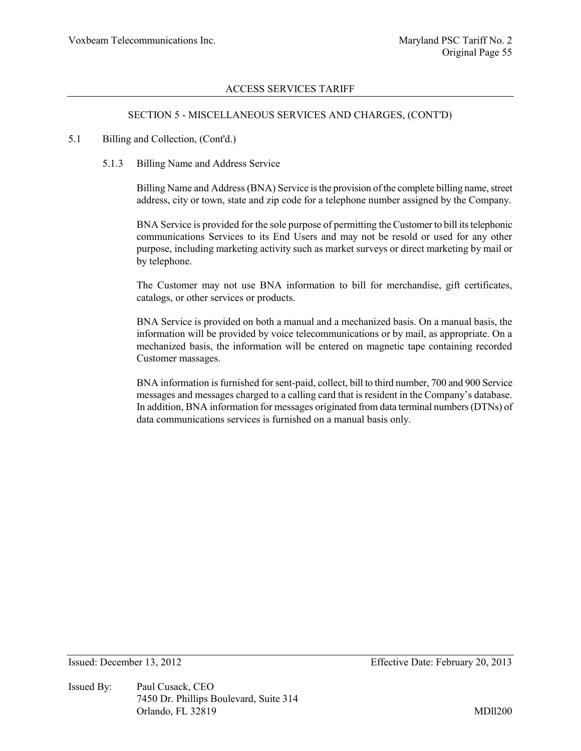#### SECTION 5 - MISCELLANEOUS SERVICES AND CHARGES, (CONT'D)

#### 5.1 Billing and Collection, (Cont'd.)

#### 5.1.3 Billing Name and Address Service

Billing Name and Address (BNA) Service is the provision of the complete billing name, street address, city or town, state and zip code for a telephone number assigned by the Company.

BNA Service is provided for the sole purpose of permitting the Customer to bill its telephonic communications Services to its End Users and may not be resold or used for any other purpose, including marketing activity such as market surveys or direct marketing by mail or by telephone.

The Customer may not use BNA information to bill for merchandise, gift certificates, catalogs, or other services or products.

BNA Service is provided on both a manual and a mechanized basis. On a manual basis, the information will be provided by voice telecommunications or by mail, as appropriate. On a mechanized basis, the information will be entered on magnetic tape containing recorded Customer massages.

BNA information is furnished for sent-paid, collect, bill to third number, 700 and 900 Service messages and messages charged to a calling card that is resident in the Company's database. In addition, BNA information for messages originated from data terminal numbers (DTNs) of data communications services is furnished on a manual basis only.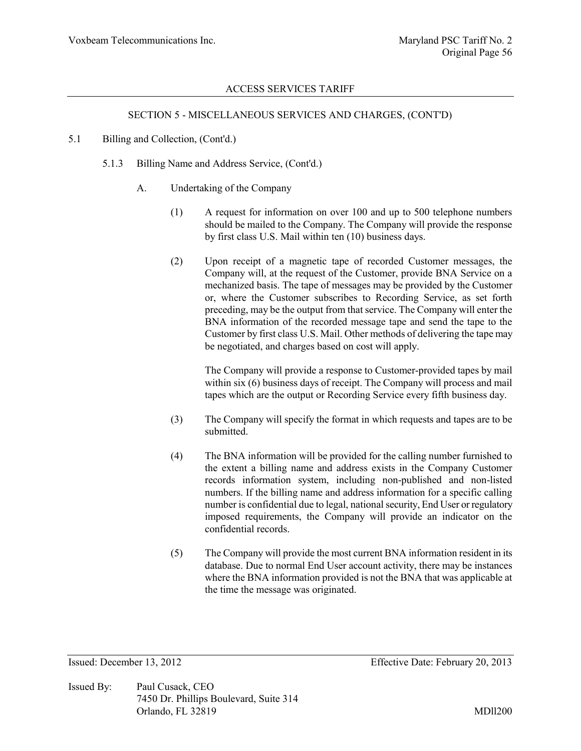#### SECTION 5 - MISCELLANEOUS SERVICES AND CHARGES, (CONT'D)

#### 5.1 Billing and Collection, (Cont'd.)

- 5.1.3 Billing Name and Address Service, (Cont'd.)
	- A. Undertaking of the Company
		- (1) A request for information on over 100 and up to 500 telephone numbers should be mailed to the Company. The Company will provide the response by first class U.S. Mail within ten (10) business days.
		- (2) Upon receipt of a magnetic tape of recorded Customer messages, the Company will, at the request of the Customer, provide BNA Service on a mechanized basis. The tape of messages may be provided by the Customer or, where the Customer subscribes to Recording Service, as set forth preceding, may be the output from that service. The Company will enter the BNA information of the recorded message tape and send the tape to the Customer by first class U.S. Mail. Other methods of delivering the tape may be negotiated, and charges based on cost will apply.

The Company will provide a response to Customer-provided tapes by mail within six (6) business days of receipt. The Company will process and mail tapes which are the output or Recording Service every fifth business day.

- (3) The Company will specify the format in which requests and tapes are to be submitted.
- (4) The BNA information will be provided for the calling number furnished to the extent a billing name and address exists in the Company Customer records information system, including non-published and non-listed numbers. If the billing name and address information for a specific calling number is confidential due to legal, national security, End User or regulatory imposed requirements, the Company will provide an indicator on the confidential records.
- (5) The Company will provide the most current BNA information resident in its database. Due to normal End User account activity, there may be instances where the BNA information provided is not the BNA that was applicable at the time the message was originated.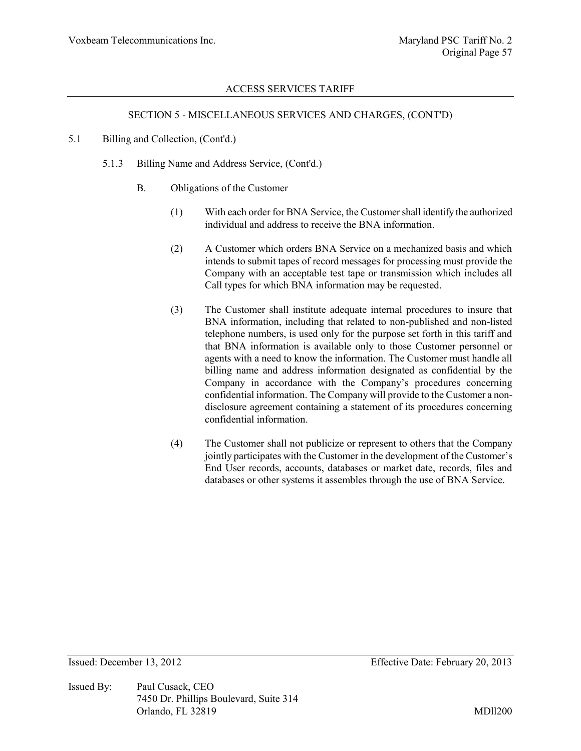### SECTION 5 - MISCELLANEOUS SERVICES AND CHARGES, (CONT'D)

#### 5.1 Billing and Collection, (Cont'd.)

- 5.1.3 Billing Name and Address Service, (Cont'd.)
	- B. Obligations of the Customer
		- (1) With each order for BNA Service, the Customer shall identify the authorized individual and address to receive the BNA information.
		- (2) A Customer which orders BNA Service on a mechanized basis and which intends to submit tapes of record messages for processing must provide the Company with an acceptable test tape or transmission which includes all Call types for which BNA information may be requested.
		- (3) The Customer shall institute adequate internal procedures to insure that BNA information, including that related to non-published and non-listed telephone numbers, is used only for the purpose set forth in this tariff and that BNA information is available only to those Customer personnel or agents with a need to know the information. The Customer must handle all billing name and address information designated as confidential by the Company in accordance with the Company's procedures concerning confidential information. The Company will provide to the Customer a nondisclosure agreement containing a statement of its procedures concerning confidential information.
		- (4) The Customer shall not publicize or represent to others that the Company jointly participates with the Customer in the development of the Customer's End User records, accounts, databases or market date, records, files and databases or other systems it assembles through the use of BNA Service.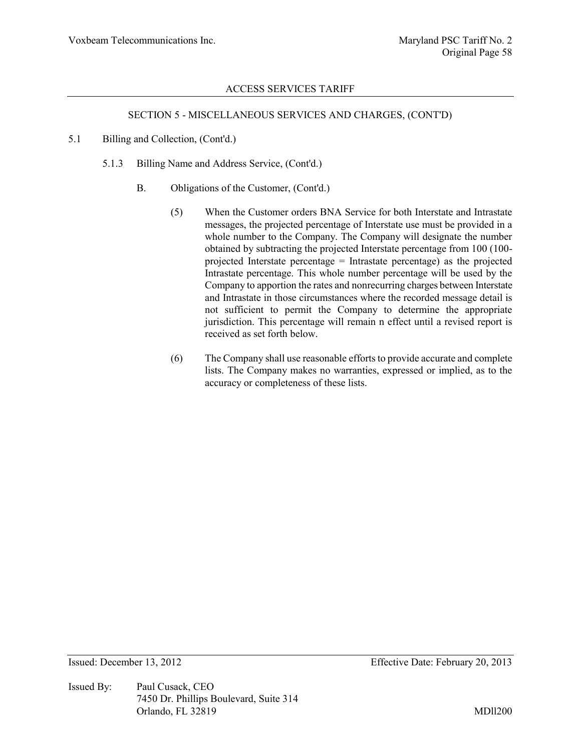#### SECTION 5 - MISCELLANEOUS SERVICES AND CHARGES, (CONT'D)

- 5.1 Billing and Collection, (Cont'd.)
	- 5.1.3 Billing Name and Address Service, (Cont'd.)
		- B. Obligations of the Customer, (Cont'd.)
			- (5) When the Customer orders BNA Service for both Interstate and Intrastate messages, the projected percentage of Interstate use must be provided in a whole number to the Company. The Company will designate the number obtained by subtracting the projected Interstate percentage from 100 (100 projected Interstate percentage = Intrastate percentage) as the projected Intrastate percentage. This whole number percentage will be used by the Company to apportion the rates and nonrecurring charges between Interstate and Intrastate in those circumstances where the recorded message detail is not sufficient to permit the Company to determine the appropriate jurisdiction. This percentage will remain n effect until a revised report is received as set forth below.
			- (6) The Company shall use reasonable efforts to provide accurate and complete lists. The Company makes no warranties, expressed or implied, as to the accuracy or completeness of these lists.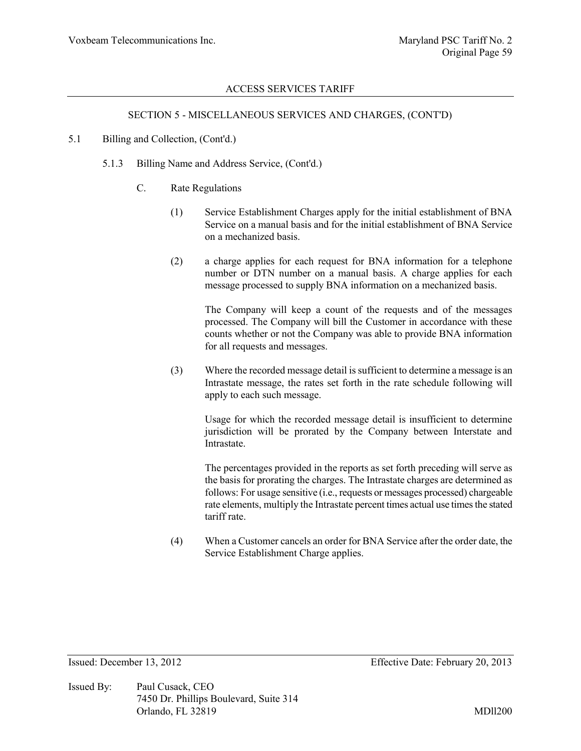#### SECTION 5 - MISCELLANEOUS SERVICES AND CHARGES, (CONT'D)

#### 5.1 Billing and Collection, (Cont'd.)

- 5.1.3 Billing Name and Address Service, (Cont'd.)
	- C. Rate Regulations
		- (1) Service Establishment Charges apply for the initial establishment of BNA Service on a manual basis and for the initial establishment of BNA Service on a mechanized basis.
		- (2) a charge applies for each request for BNA information for a telephone number or DTN number on a manual basis. A charge applies for each message processed to supply BNA information on a mechanized basis.

The Company will keep a count of the requests and of the messages processed. The Company will bill the Customer in accordance with these counts whether or not the Company was able to provide BNA information for all requests and messages.

(3) Where the recorded message detail is sufficient to determine a message is an Intrastate message, the rates set forth in the rate schedule following will apply to each such message.

Usage for which the recorded message detail is insufficient to determine jurisdiction will be prorated by the Company between Interstate and Intrastate.

The percentages provided in the reports as set forth preceding will serve as the basis for prorating the charges. The Intrastate charges are determined as follows: For usage sensitive (i.e., requests or messages processed) chargeable rate elements, multiply the Intrastate percent times actual use times the stated tariff rate.

(4) When a Customer cancels an order for BNA Service after the order date, the Service Establishment Charge applies.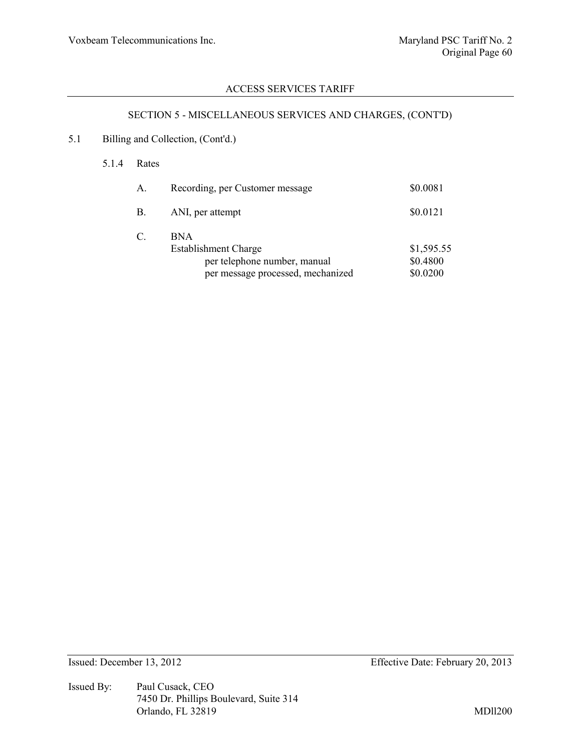# SECTION 5 - MISCELLANEOUS SERVICES AND CHARGES, (CONT'D)

### 5.1 Billing and Collection, (Cont'd.)

#### 5.1.4 Rates

| A.        | Recording, per Customer message                                     | \$0.0081               |
|-----------|---------------------------------------------------------------------|------------------------|
| <b>B.</b> | ANI, per attempt                                                    | \$0.0121               |
| C.        | BN A<br><b>Establishment Charge</b><br>per telephone number, manual | \$1,595.55<br>\$0.4800 |
|           | per message processed, mechanized                                   | \$0.0200               |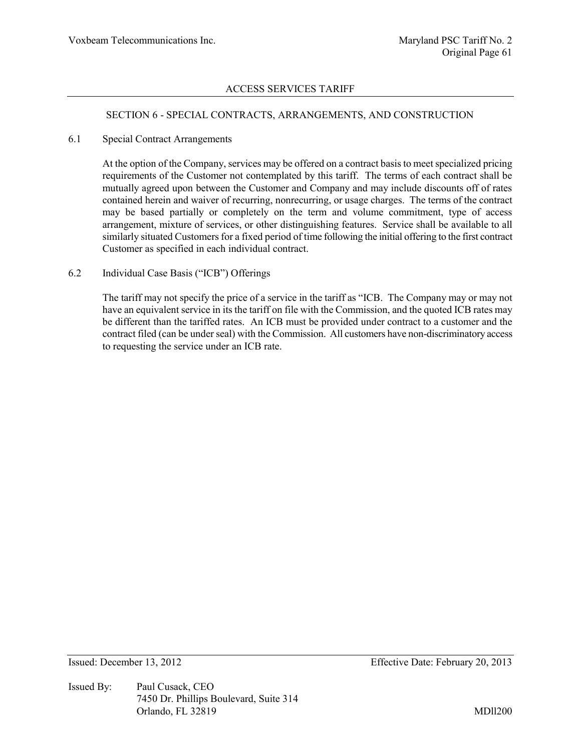#### SECTION 6 - SPECIAL CONTRACTS, ARRANGEMENTS, AND CONSTRUCTION

#### 6.1 Special Contract Arrangements

At the option of the Company, services may be offered on a contract basis to meet specialized pricing requirements of the Customer not contemplated by this tariff. The terms of each contract shall be mutually agreed upon between the Customer and Company and may include discounts off of rates contained herein and waiver of recurring, nonrecurring, or usage charges. The terms of the contract may be based partially or completely on the term and volume commitment, type of access arrangement, mixture of services, or other distinguishing features. Service shall be available to all similarly situated Customers for a fixed period of time following the initial offering to the first contract Customer as specified in each individual contract.

#### 6.2 Individual Case Basis ("ICB") Offerings

The tariff may not specify the price of a service in the tariff as "ICB. The Company may or may not have an equivalent service in its the tariff on file with the Commission, and the quoted ICB rates may be different than the tariffed rates. An ICB must be provided under contract to a customer and the contract filed (can be under seal) with the Commission. All customers have non-discriminatory access to requesting the service under an ICB rate.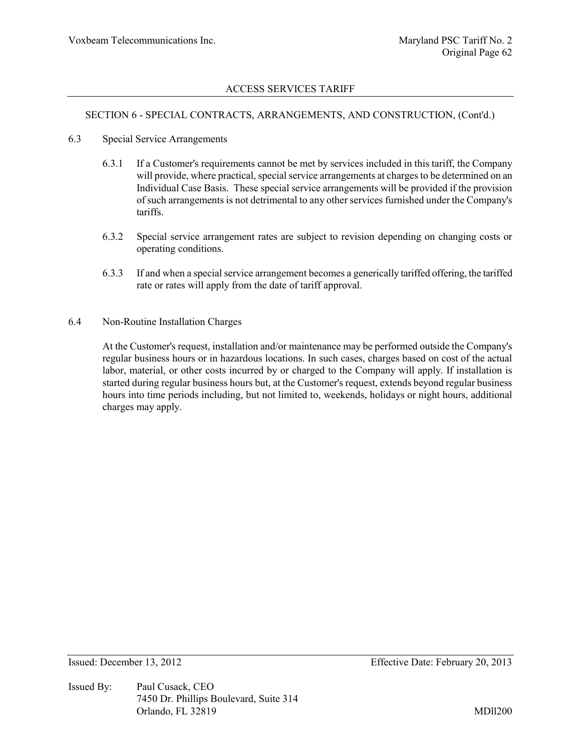#### SECTION 6 - SPECIAL CONTRACTS, ARRANGEMENTS, AND CONSTRUCTION, (Cont'd.)

- 6.3 Special Service Arrangements
	- 6.3.1 If a Customer's requirements cannot be met by services included in this tariff, the Company will provide, where practical, special service arrangements at charges to be determined on an Individual Case Basis. These special service arrangements will be provided if the provision of such arrangements is not detrimental to any other services furnished under the Company's tariffs.
	- 6.3.2 Special service arrangement rates are subject to revision depending on changing costs or operating conditions.
	- 6.3.3 If and when a special service arrangement becomes a generically tariffed offering, the tariffed rate or rates will apply from the date of tariff approval.
- 6.4 Non-Routine Installation Charges

At the Customer's request, installation and/or maintenance may be performed outside the Company's regular business hours or in hazardous locations. In such cases, charges based on cost of the actual labor, material, or other costs incurred by or charged to the Company will apply. If installation is started during regular business hours but, at the Customer's request, extends beyond regular business hours into time periods including, but not limited to, weekends, holidays or night hours, additional charges may apply.